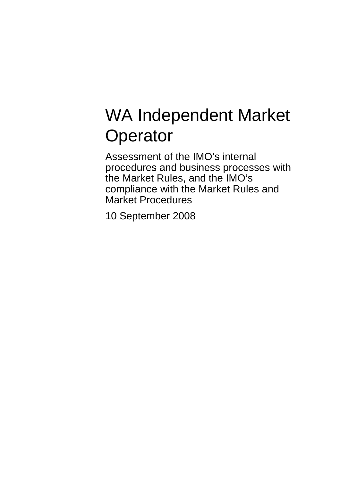# WA Independent Market **Operator**

Assessment of the IMO's internal procedures and business processes with the Market Rules, and the IMO's compliance with the Market Rules and Market Procedures

10 September 2008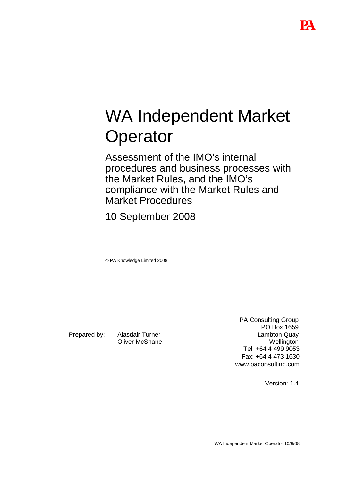# WA Independent Market **Operator**

Assessment of the IMO's internal procedures and business processes with the Market Rules, and the IMO's compliance with the Market Rules and Market Procedures

10 September 2008

© PA Knowledge Limited 2008

Prepared by: Alasdair Turner Oliver McShane

PA Consulting Group PO Box 1659 Lambton Quay **Wellington** Tel: +64 4 499 9053 Fax: +64 4 473 1630 www.paconsulting.com

Version: 1.4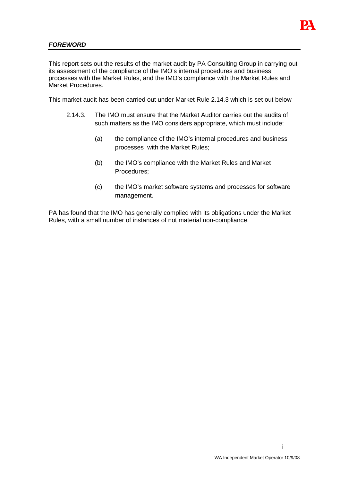

## **FOREWORD**

This report sets out the results of the market audit by PA Consulting Group in carrying out its assessment of the compliance of the IMO's internal procedures and business processes with the Market Rules, and the IMO's compliance with the Market Rules and Market Procedures.

This market audit has been carried out under Market Rule 2.14.3 which is set out below

- 2.14.3. The IMO must ensure that the Market Auditor carries out the audits of such matters as the IMO considers appropriate, which must include:
	- (a) the compliance of the IMO's internal procedures and business processes with the Market Rules;
	- (b) the IMO's compliance with the Market Rules and Market Procedures;
	- (c) the IMO's market software systems and processes for software management.

PA has found that the IMO has generally complied with its obligations under the Market Rules, with a small number of instances of not material non-compliance.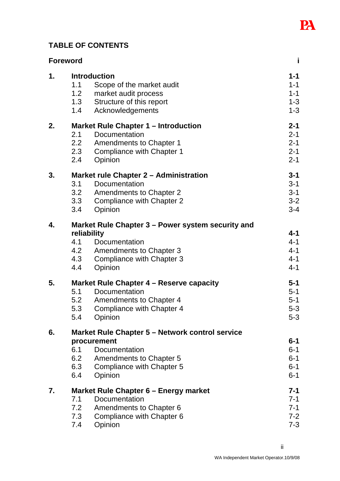

## **TABLE OF CONTENTS**

|    | <b>Foreword</b>                                                                                                                                                                       | j.                                                  |
|----|---------------------------------------------------------------------------------------------------------------------------------------------------------------------------------------|-----------------------------------------------------|
| 1. | <b>Introduction</b><br>1.1<br>Scope of the market audit<br>1.2<br>market audit process<br>1.3<br>Structure of this report<br>1.4<br>Acknowledgements                                  | $1 - 1$<br>$1 - 1$<br>$1 - 1$<br>$1 - 3$<br>$1 - 3$ |
| 2. | <b>Market Rule Chapter 1 - Introduction</b><br>2.1<br>Documentation<br>2.2<br><b>Amendments to Chapter 1</b><br>2.3<br>Compliance with Chapter 1<br>2.4<br>Opinion                    | $2 - 1$<br>$2 - 1$<br>$2 - 1$<br>$2 - 1$<br>$2 - 1$ |
| 3. | Market rule Chapter 2 - Administration<br>3.1<br>Documentation<br>3.2<br><b>Amendments to Chapter 2</b><br>3.3<br>Compliance with Chapter 2<br>Opinion<br>3.4                         | $3 - 1$<br>$3 - 1$<br>$3 - 1$<br>$3 - 2$<br>$3 - 4$ |
| 4. | Market Rule Chapter 3 – Power system security and<br>reliability<br>4.1<br>Documentation<br>4.2 Amendments to Chapter 3<br>4.3<br>Compliance with Chapter 3<br>4.4<br>Opinion         | $4 - 1$<br>$4 - 1$<br>$4 - 1$<br>$4 - 1$<br>$4 - 1$ |
| 5. | Market Rule Chapter 4 – Reserve capacity<br>5.1<br>Documentation<br>5.2<br><b>Amendments to Chapter 4</b><br>5.3<br>Compliance with Chapter 4<br>5.4<br>Opinion                       | $5-1$<br>$5-1$<br>$5 - 1$<br>$5 - 3$<br>$5-3$       |
| 6. | Market Rule Chapter 5 – Network control service<br>procurement<br>6.1<br>Documentation<br>6.2<br><b>Amendments to Chapter 5</b><br>6.3<br>Compliance with Chapter 5<br>6.4<br>Opinion | $6 - 1$<br>$6 - 1$<br>$6 - 1$<br>6-1<br>$6 - 1$     |
| 7. | Market Rule Chapter 6 - Energy market<br>7.1<br>Documentation<br>7.2<br>Amendments to Chapter 6<br>7.3<br>Compliance with Chapter 6<br>7.4<br>Opinion                                 | 7-1<br>$7 - 1$<br>$7 - 1$<br>$7 - 2$<br>$7 - 3$     |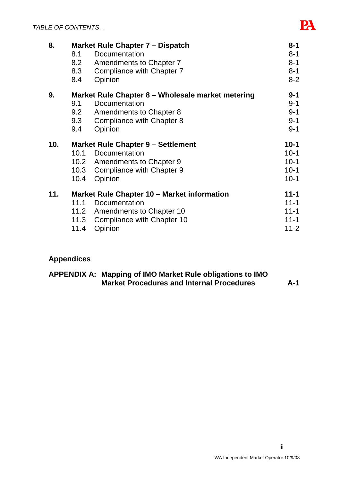

| 8.  |      | Market Rule Chapter 7 – Dispatch                             | $8 - 1$  |
|-----|------|--------------------------------------------------------------|----------|
|     | 8.1  | Documentation                                                | $8 - 1$  |
|     | 8.2  | Amendments to Chapter 7                                      | $8 - 1$  |
|     | 8.3  | Compliance with Chapter 7                                    | $8 - 1$  |
|     | 8.4  | Opinion                                                      | $8 - 2$  |
| 9.  |      | Market Rule Chapter 8 – Wholesale market metering            | $9 - 1$  |
|     | 9.1  | Documentation                                                | $9 - 1$  |
|     | 9.2  | Amendments to Chapter 8                                      | $9 - 1$  |
|     | 9.3  | Compliance with Chapter 8                                    | $9 - 1$  |
|     | 9.4  | Opinion                                                      | $9 - 1$  |
|     |      |                                                              |          |
| 10. |      | <b>Market Rule Chapter 9 – Settlement</b>                    | $10 - 1$ |
|     | 10.1 | Documentation                                                | $10 - 1$ |
|     |      | 10.2 Amendments to Chapter 9                                 | $10 - 1$ |
|     | 10.3 | Compliance with Chapter 9                                    | $10 - 1$ |
|     | 10.4 | Opinion                                                      | $10 - 1$ |
| 11. |      |                                                              | $11 - 1$ |
|     | 11.1 | Market Rule Chapter 10 - Market information<br>Documentation | $11 - 1$ |
|     | 11.2 | Amendments to Chapter 10                                     | $11 - 1$ |
|     | 11.3 | Compliance with Chapter 10                                   | $11 - 1$ |

## **Appendices**

| APPENDIX A: Mapping of IMO Market Rule obligations to IMO |     |
|-----------------------------------------------------------|-----|
| <b>Market Procedures and Internal Procedures</b>          | A-1 |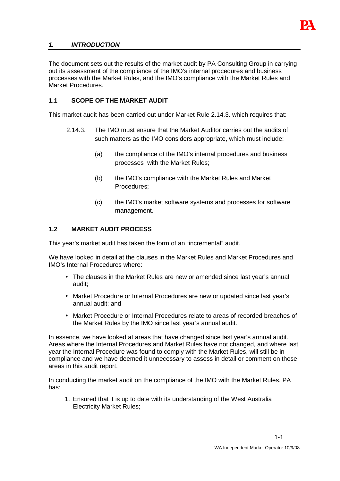

## **1. INTRODUCTION**

The document sets out the results of the market audit by PA Consulting Group in carrying out its assessment of the compliance of the IMO's internal procedures and business processes with the Market Rules, and the IMO's compliance with the Market Rules and Market Procedures.

## **1.1 SCOPE OF THE MARKET AUDIT**

This market audit has been carried out under Market Rule 2.14.3. which requires that:

- 2.14.3. The IMO must ensure that the Market Auditor carries out the audits of such matters as the IMO considers appropriate, which must include:
	- (a) the compliance of the IMO's internal procedures and business processes with the Market Rules;
	- (b) the IMO's compliance with the Market Rules and Market Procedures;
	- (c) the IMO's market software systems and processes for software management.

## **1.2 MARKET AUDIT PROCESS**

This year's market audit has taken the form of an "incremental" audit.

We have looked in detail at the clauses in the Market Rules and Market Procedures and IMO's Internal Procedures where:

- The clauses in the Market Rules are new or amended since last year's annual audit;
- Market Procedure or Internal Procedures are new or updated since last year's annual audit; and
- Market Procedure or Internal Procedures relate to areas of recorded breaches of the Market Rules by the IMO since last year's annual audit.

In essence, we have looked at areas that have changed since last year's annual audit. Areas where the Internal Procedures and Market Rules have not changed, and where last year the Internal Procedure was found to comply with the Market Rules, will still be in compliance and we have deemed it unnecessary to assess in detail or comment on those areas in this audit report.

In conducting the market audit on the compliance of the IMO with the Market Rules, PA has:

1. Ensured that it is up to date with its understanding of the West Australia Electricity Market Rules;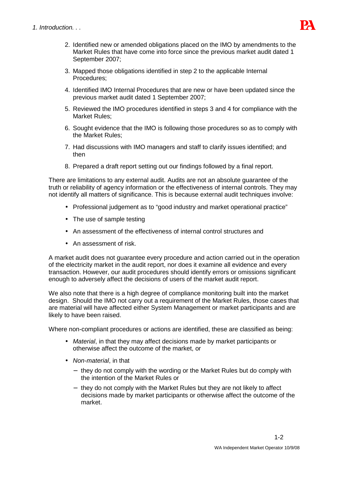

- 2. Identified new or amended obligations placed on the IMO by amendments to the Market Rules that have come into force since the previous market audit dated 1 September 2007;
- 3. Mapped those obligations identified in step 2 to the applicable Internal Procedures;
- 4. Identified IMO Internal Procedures that are new or have been updated since the previous market audit dated 1 September 2007;
- 5. Reviewed the IMO procedures identified in steps 3 and 4 for compliance with the Market Rules;
- 6. Sought evidence that the IMO is following those procedures so as to comply with the Market Rules;
- 7. Had discussions with IMO managers and staff to clarify issues identified; and then
- 8. Prepared a draft report setting out our findings followed by a final report.

There are limitations to any external audit. Audits are not an absolute guarantee of the truth or reliability of agency information or the effectiveness of internal controls. They may not identify all matters of significance. This is because external audit techniques involve:

- Professional judgement as to "good industry and market operational practice"
- The use of sample testing
- An assessment of the effectiveness of internal control structures and
- An assessment of risk.

A market audit does not guarantee every procedure and action carried out in the operation of the electricity market in the audit report, nor does it examine all evidence and every transaction. However, our audit procedures should identify errors or omissions significant enough to adversely affect the decisions of users of the market audit report.

We also note that there is a high degree of compliance monitoring built into the market design. Should the IMO not carry out a requirement of the Market Rules, those cases that are material will have affected either System Management or market participants and are likely to have been raised.

Where non-compliant procedures or actions are identified, these are classified as being:

- Material, in that they may affect decisions made by market participants or otherwise affect the outcome of the market, or
- Non-material, in that
	- − they do not comply with the wording or the Market Rules but do comply with the intention of the Market Rules or
	- − they do not comply with the Market Rules but they are not likely to affect decisions made by market participants or otherwise affect the outcome of the market.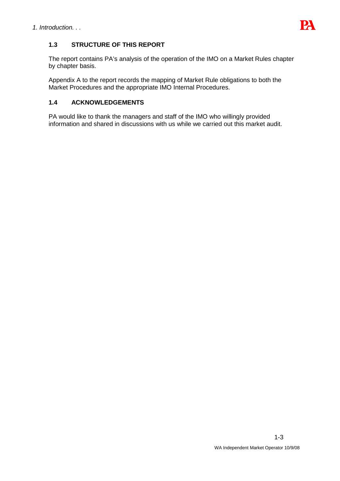

## **1.3 STRUCTURE OF THIS REPORT**

The report contains PA's analysis of the operation of the IMO on a Market Rules chapter by chapter basis.

Appendix A to the report records the mapping of Market Rule obligations to both the Market Procedures and the appropriate IMO Internal Procedures.

## **1.4 ACKNOWLEDGEMENTS**

PA would like to thank the managers and staff of the IMO who willingly provided information and shared in discussions with us while we carried out this market audit.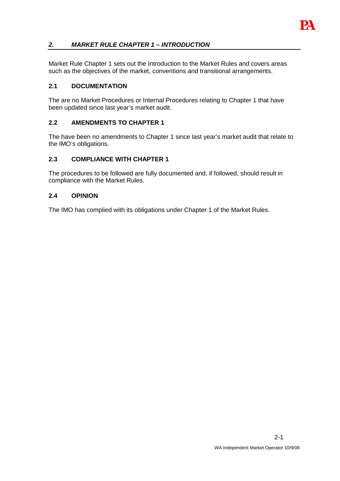

## **2. MARKET RULE CHAPTER 1 – INTRODUCTION**

Market Rule Chapter 1 sets out the Introduction to the Market Rules and covers areas such as the objectives of the market, conventions and transitional arrangements.

## **2.1 DOCUMENTATION**

The are no Market Procedures or Internal Procedures relating to Chapter 1 that have been updated since last year's market audit.

#### **2.2 AMENDMENTS TO CHAPTER 1**

The have been no amendments to Chapter 1 since last year's market audit that relate to the IMO's obligations.

#### **2.3 COMPLIANCE WITH CHAPTER 1**

The procedures to be followed are fully documented and, if followed, should result in compliance with the Market Rules.

#### **2.4 OPINION**

The IMO has complied with its obligations under Chapter 1 of the Market Rules.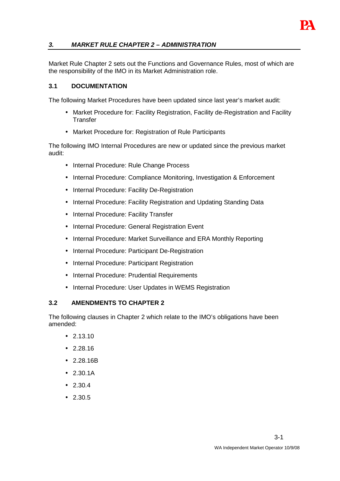

Market Rule Chapter 2 sets out the Functions and Governance Rules, most of which are the responsibility of the IMO in its Market Administration role.

## **3.1 DOCUMENTATION**

The following Market Procedures have been updated since last year's market audit:

- Market Procedure for: Facility Registration, Facility de-Registration and Facility **Transfer**
- Market Procedure for: Registration of Rule Participants

The following IMO Internal Procedures are new or updated since the previous market audit:

- Internal Procedure: Rule Change Process
- Internal Procedure: Compliance Monitoring, Investigation & Enforcement
- Internal Procedure: Facility De-Registration
- Internal Procedure: Facility Registration and Updating Standing Data
- Internal Procedure: Facility Transfer
- Internal Procedure: General Registration Event
- Internal Procedure: Market Surveillance and ERA Monthly Reporting
- Internal Procedure: Participant De-Registration
- Internal Procedure: Participant Registration
- Internal Procedure: Prudential Requirements
- Internal Procedure: User Updates in WEMS Registration

## **3.2 AMENDMENTS TO CHAPTER 2**

The following clauses in Chapter 2 which relate to the IMO's obligations have been amended:

- $21310$
- 2.28.16
- 2.28.16B
- 2.30.1A
- $2.30.4$
- 2.30.5

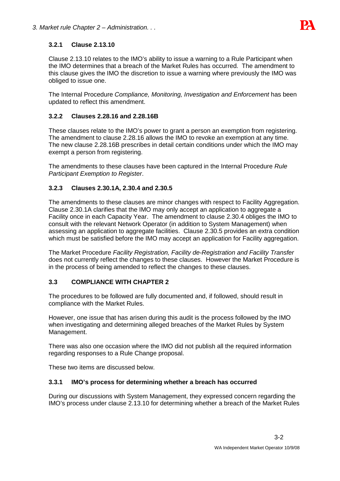

## **3.2.1 Clause 2.13.10**

Clause 2.13.10 relates to the IMO's ability to issue a warning to a Rule Participant when the IMO determines that a breach of the Market Rules has occurred. The amendment to this clause gives the IMO the discretion to issue a warning where previously the IMO was obliged to issue one.

The Internal Procedure Compliance, Monitoring, Investigation and Enforcement has been updated to reflect this amendment.

## **3.2.2 Clauses 2.28.16 and 2.28.16B**

These clauses relate to the IMO's power to grant a person an exemption from registering. The amendment to clause 2.28.16 allows the IMO to revoke an exemption at any time. The new clause 2.28.16B prescribes in detail certain conditions under which the IMO may exempt a person from registering.

The amendments to these clauses have been captured in the Internal Procedure Rule Participant Exemption to Register.

## **3.2.3 Clauses 2.30.1A, 2.30.4 and 2.30.5**

The amendments to these clauses are minor changes with respect to Facility Aggregation. Clause 2.30.1A clarifies that the IMO may only accept an application to aggregate a Facility once in each Capacity Year. The amendment to clause 2.30.4 obliges the IMO to consult with the relevant Network Operator (in addition to System Management) when assessing an application to aggregate facilities. Clause 2.30.5 provides an extra condition which must be satisfied before the IMO may accept an application for Facility aggregation.

The Market Procedure Facility Registration, Facility de-Registration and Facility Transfer does not currently reflect the changes to these clauses. However the Market Procedure is in the process of being amended to reflect the changes to these clauses.

## **3.3 COMPLIANCE WITH CHAPTER 2**

The procedures to be followed are fully documented and, if followed, should result in compliance with the Market Rules.

However, one issue that has arisen during this audit is the process followed by the IMO when investigating and determining alleged breaches of the Market Rules by System Management.

There was also one occasion where the IMO did not publish all the required information regarding responses to a Rule Change proposal.

These two items are discussed below.

## **3.3.1 IMO's process for determining whether a breach has occurred**

During our discussions with System Management, they expressed concern regarding the IMO's process under clause 2.13.10 for determining whether a breach of the Market Rules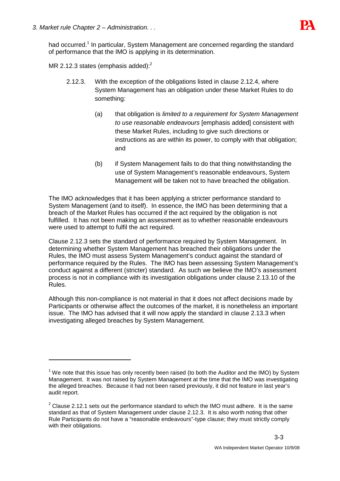

had occurred.<sup>1</sup> In particular, System Management are concerned regarding the standard of performance that the IMO is applying in its determination.

MR 2.12.3 states (emphasis added): $<sup>2</sup>$ </sup>

- 2.12.3. With the exception of the obligations listed in clause 2.12.4, where System Management has an obligation under these Market Rules to do something:
	- (a) that obligation is limited to a requirement for System Management to use reasonable endeavours [emphasis added] consistent with these Market Rules, including to give such directions or instructions as are within its power, to comply with that obligation; and
	- (b) if System Management fails to do that thing notwithstanding the use of System Management's reasonable endeavours, System Management will be taken not to have breached the obligation.

The IMO acknowledges that it has been applying a stricter performance standard to System Management (and to itself). In essence, the IMO has been determining that a breach of the Market Rules has occurred if the act required by the obligation is not fulfilled. It has not been making an assessment as to whether reasonable endeavours were used to attempt to fulfil the act required.

Clause 2.12.3 sets the standard of performance required by System Management. In determining whether System Management has breached their obligations under the Rules, the IMO must assess System Management's conduct against the standard of performance required by the Rules. The IMO has been assessing System Management's conduct against a different (stricter) standard. As such we believe the IMO's assessment process is not in compliance with its investigation obligations under clause 2.13.10 of the Rules.

Although this non-compliance is not material in that it does not affect decisions made by Participants or otherwise affect the outcomes of the market, it is nonetheless an important issue. The IMO has advised that it will now apply the standard in clause 2.13.3 when investigating alleged breaches by System Management.

 $1$  We note that this issue has only recently been raised (to both the Auditor and the IMO) by System Management. It was not raised by System Management at the time that the IMO was investigating the alleged breaches. Because it had not been raised previously, it did not feature in last year's audit report.

 $2$  Clause 2.12.1 sets out the performance standard to which the IMO must adhere. It is the same standard as that of System Management under clause 2.12.3. It is also worth noting that other Rule Participants do not have a "reasonable endeavours"-type clause; they must strictly comply with their obligations.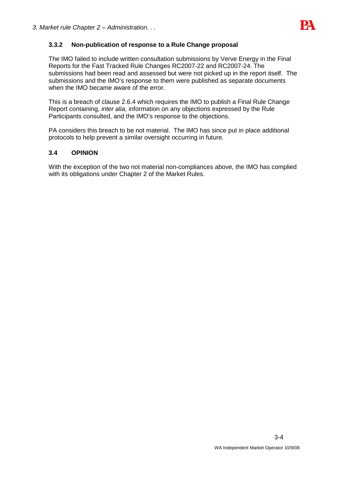

## **3.3.2 Non-publication of response to a Rule Change proposal**

The IMO failed to include written consultation submissions by Verve Energy in the Final Reports for the Fast Tracked Rule Changes RC2007-22 and RC2007-24. The submissions had been read and assessed but were not picked up in the report itself. The submissions and the IMO's response to them were published as separate documents when the IMO became aware of the error.

This is a breach of clause 2.6.4 which requires the IMO to publish a Final Rule Change Report containing, inter alia, information on any objections expressed by the Rule Participants consulted, and the IMO's response to the objections.

PA considers this breach to be not material. The IMO has since put in place additional protocols to help prevent a similar oversight occurring in future.

## **3.4 OPINION**

With the exception of the two not material non-compliances above, the IMO has complied with its obligations under Chapter 2 of the Market Rules.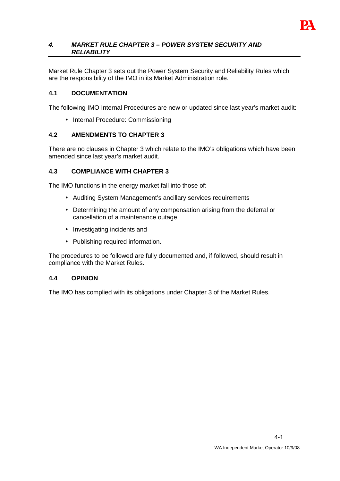

## **4. MARKET RULE CHAPTER 3 – POWER SYSTEM SECURITY AND RELIABILITY**

Market Rule Chapter 3 sets out the Power System Security and Reliability Rules which are the responsibility of the IMO in its Market Administration role.

## **4.1 DOCUMENTATION**

The following IMO Internal Procedures are new or updated since last year's market audit:

• Internal Procedure: Commissioning

## **4.2 AMENDMENTS TO CHAPTER 3**

There are no clauses in Chapter 3 which relate to the IMO's obligations which have been amended since last year's market audit.

## **4.3 COMPLIANCE WITH CHAPTER 3**

The IMO functions in the energy market fall into those of:

- Auditing System Management's ancillary services requirements
- Determining the amount of any compensation arising from the deferral or cancellation of a maintenance outage
- Investigating incidents and
- Publishing required information.

The procedures to be followed are fully documented and, if followed, should result in compliance with the Market Rules.

## **4.4 OPINION**

The IMO has complied with its obligations under Chapter 3 of the Market Rules.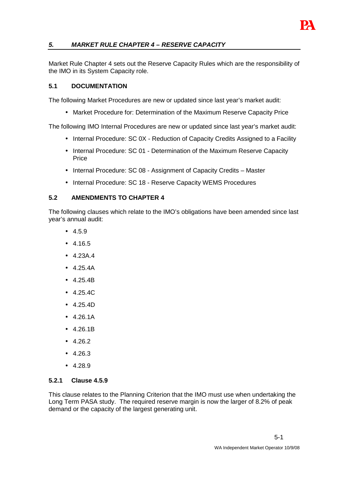## **5. MARKET RULE CHAPTER 4 – RESERVE CAPACITY**

Market Rule Chapter 4 sets out the Reserve Capacity Rules which are the responsibility of the IMO in its System Capacity role.

## **5.1 DOCUMENTATION**

The following Market Procedures are new or updated since last year's market audit:

• Market Procedure for: Determination of the Maximum Reserve Capacity Price

The following IMO Internal Procedures are new or updated since last year's market audit:

- Internal Procedure: SC 0X Reduction of Capacity Credits Assigned to a Facility
- Internal Procedure: SC 01 Determination of the Maximum Reserve Capacity Price
- Internal Procedure: SC 08 Assignment of Capacity Credits Master
- Internal Procedure: SC 18 Reserve Capacity WEMS Procedures

## **5.2 AMENDMENTS TO CHAPTER 4**

The following clauses which relate to the IMO's obligations have been amended since last year's annual audit:

- 4.5.9
- 4.16.5
- $4.23A.4$
- 4.25.4A
- 4.25.4B
- $-4.25.4C$
- $4.25.4D$
- 4.26.1A
- 4.26.1B
- 4.26.2
- 4.26.3
- 4.28.9

## **5.2.1 Clause 4.5.9**

This clause relates to the Planning Criterion that the IMO must use when undertaking the Long Term PASA study. The required reserve margin is now the larger of 8.2% of peak demand or the capacity of the largest generating unit.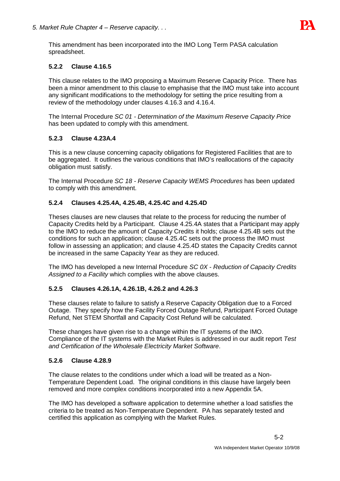

This amendment has been incorporated into the IMO Long Term PASA calculation spreadsheet.

## **5.2.2 Clause 4.16.5**

This clause relates to the IMO proposing a Maximum Reserve Capacity Price. There has been a minor amendment to this clause to emphasise that the IMO must take into account any significant modifications to the methodology for setting the price resulting from a review of the methodology under clauses 4.16.3 and 4.16.4.

The Internal Procedure SC 01 - Determination of the Maximum Reserve Capacity Price has been updated to comply with this amendment.

## **5.2.3 Clause 4.23A.4**

This is a new clause concerning capacity obligations for Registered Facilities that are to be aggregated. It outlines the various conditions that IMO's reallocations of the capacity obligation must satisfy.

The Internal Procedure SC 18 - Reserve Capacity WEMS Procedures has been updated to comply with this amendment.

## **5.2.4 Clauses 4.25.4A, 4.25.4B, 4.25.4C and 4.25.4D**

Theses clauses are new clauses that relate to the process for reducing the number of Capacity Credits held by a Participant. Clause 4.25.4A states that a Participant may apply to the IMO to reduce the amount of Capacity Credits it holds; clause 4.25.4B sets out the conditions for such an application; clause 4.25.4C sets out the process the IMO must follow in assessing an application; and clause 4.25.4D states the Capacity Credits cannot be increased in the same Capacity Year as they are reduced.

The IMO has developed a new Internal Procedure SC 0X - Reduction of Capacity Credits Assigned to a Facility which complies with the above clauses.

## **5.2.5 Clauses 4.26.1A, 4.26.1B, 4.26.2 and 4.26.3**

These clauses relate to failure to satisfy a Reserve Capacity Obligation due to a Forced Outage. They specify how the Facility Forced Outage Refund, Participant Forced Outage Refund, Net STEM Shortfall and Capacity Cost Refund will be calculated.

These changes have given rise to a change within the IT systems of the IMO. Compliance of the IT systems with the Market Rules is addressed in our audit report Test and Certification of the Wholesale Electricity Market Software.

## **5.2.6 Clause 4.28.9**

The clause relates to the conditions under which a load will be treated as a Non-Temperature Dependent Load. The original conditions in this clause have largely been removed and more complex conditions incorporated into a new Appendix 5A.

The IMO has developed a software application to determine whether a load satisfies the criteria to be treated as Non-Temperature Dependent. PA has separately tested and certified this application as complying with the Market Rules.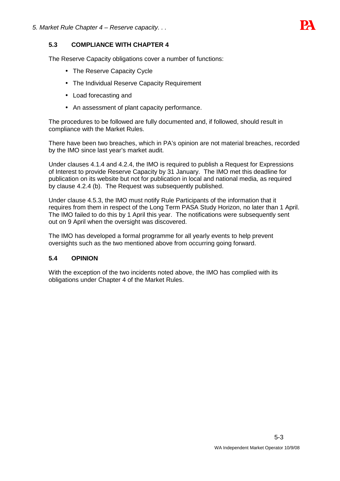

## **5.3 COMPLIANCE WITH CHAPTER 4**

The Reserve Capacity obligations cover a number of functions:

- The Reserve Capacity Cycle
- The Individual Reserve Capacity Requirement
- Load forecasting and
- An assessment of plant capacity performance.

The procedures to be followed are fully documented and, if followed, should result in compliance with the Market Rules.

There have been two breaches, which in PA's opinion are not material breaches, recorded by the IMO since last year's market audit.

Under clauses 4.1.4 and 4.2.4, the IMO is required to publish a Request for Expressions of Interest to provide Reserve Capacity by 31 January. The IMO met this deadline for publication on its website but not for publication in local and national media, as required by clause 4.2.4 (b). The Request was subsequently published.

Under clause 4.5.3, the IMO must notify Rule Participants of the information that it requires from them in respect of the Long Term PASA Study Horizon, no later than 1 April. The IMO failed to do this by 1 April this year. The notifications were subsequently sent out on 9 April when the oversight was discovered.

The IMO has developed a formal programme for all yearly events to help prevent oversights such as the two mentioned above from occurring going forward.

## **5.4 OPINION**

With the exception of the two incidents noted above, the IMO has complied with its obligations under Chapter 4 of the Market Rules.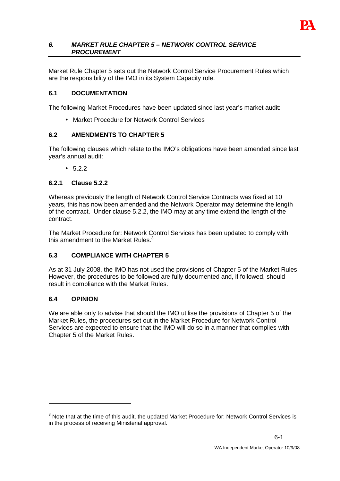

## **6. MARKET RULE CHAPTER 5 – NETWORK CONTROL SERVICE PROCUREMENT**

Market Rule Chapter 5 sets out the Network Control Service Procurement Rules which are the responsibility of the IMO in its System Capacity role.

## **6.1 DOCUMENTATION**

The following Market Procedures have been updated since last year's market audit:

• Market Procedure for Network Control Services

## **6.2 AMENDMENTS TO CHAPTER 5**

The following clauses which relate to the IMO's obligations have been amended since last year's annual audit:

 $• 5.2.2$ 

## **6.2.1 Clause 5.2.2**

Whereas previously the length of Network Control Service Contracts was fixed at 10 years, this has now been amended and the Network Operator may determine the length of the contract. Under clause 5.2.2, the IMO may at any time extend the length of the contract.

The Market Procedure for: Network Control Services has been updated to comply with this amendment to the Market Rules.<sup>3</sup>

## **6.3 COMPLIANCE WITH CHAPTER 5**

As at 31 July 2008, the IMO has not used the provisions of Chapter 5 of the Market Rules. However, the procedures to be followed are fully documented and, if followed, should result in compliance with the Market Rules.

## **6.4 OPINION**

We are able only to advise that should the IMO utilise the provisions of Chapter 5 of the Market Rules, the procedures set out in the Market Procedure for Network Control Services are expected to ensure that the IMO will do so in a manner that complies with Chapter 5 of the Market Rules.

 $3$  Note that at the time of this audit, the updated Market Procedure for: Network Control Services is in the process of receiving Ministerial approval.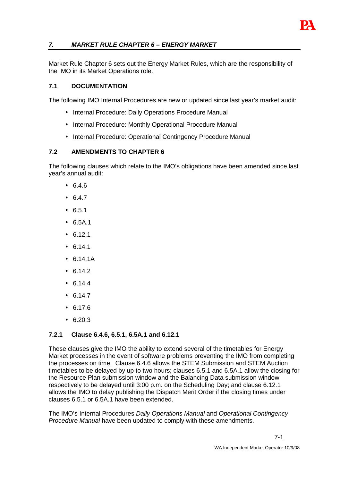

## **7. MARKET RULE CHAPTER 6 – ENERGY MARKET**

Market Rule Chapter 6 sets out the Energy Market Rules, which are the responsibility of the IMO in its Market Operations role.

## **7.1 DOCUMENTATION**

The following IMO Internal Procedures are new or updated since last year's market audit:

- Internal Procedure: Daily Operations Procedure Manual
- Internal Procedure: Monthly Operational Procedure Manual
- Internal Procedure: Operational Contingency Procedure Manual

## **7.2 AMENDMENTS TO CHAPTER 6**

The following clauses which relate to the IMO's obligations have been amended since last year's annual audit:

- 6.4.6
- 6.4.7
- 6.5.1
- 6.5A.1
- 6.12.1
- $6.14.1$
- 6.14.1A
- $6.14.2$
- 6.14.4
- $6.14.7$
- 6.17.6
- $6.20.3$

## **7.2.1 Clause 6.4.6, 6.5.1, 6.5A.1 and 6.12.1**

These clauses give the IMO the ability to extend several of the timetables for Energy Market processes in the event of software problems preventing the IMO from completing the processes on time. Clause 6.4.6 allows the STEM Submission and STEM Auction timetables to be delayed by up to two hours; clauses 6.5.1 and 6.5A.1 allow the closing for the Resource Plan submission window and the Balancing Data submission window respectively to be delayed until 3:00 p.m. on the Scheduling Day; and clause 6.12.1 allows the IMO to delay publishing the Dispatch Merit Order if the closing times under clauses 6.5.1 or 6.5A.1 have been extended.

The IMO's Internal Procedures Daily Operations Manual and Operational Contingency Procedure Manual have been updated to comply with these amendments.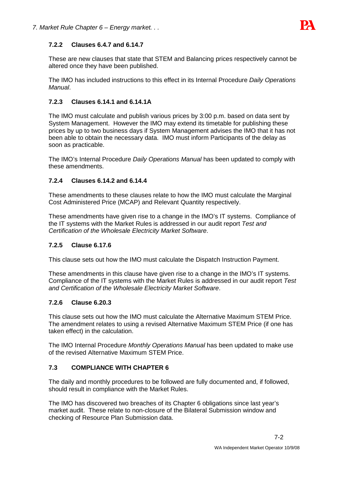

## **7.2.2 Clauses 6.4.7 and 6.14.7**

These are new clauses that state that STEM and Balancing prices respectively cannot be altered once they have been published.

The IMO has included instructions to this effect in its Internal Procedure Daily Operations Manual.

## **7.2.3 Clauses 6.14.1 and 6.14.1A**

The IMO must calculate and publish various prices by 3:00 p.m. based on data sent by System Management. However the IMO may extend its timetable for publishing these prices by up to two business days if System Management advises the IMO that it has not been able to obtain the necessary data. IMO must inform Participants of the delay as soon as practicable.

The IMO's Internal Procedure Daily Operations Manual has been updated to comply with these amendments.

## **7.2.4 Clauses 6.14.2 and 6.14.4**

These amendments to these clauses relate to how the IMO must calculate the Marginal Cost Administered Price (MCAP) and Relevant Quantity respectively.

These amendments have given rise to a change in the IMO's IT systems. Compliance of the IT systems with the Market Rules is addressed in our audit report Test and Certification of the Wholesale Electricity Market Software.

## **7.2.5 Clause 6.17.6**

This clause sets out how the IMO must calculate the Dispatch Instruction Payment.

These amendments in this clause have given rise to a change in the IMO's IT systems. Compliance of the IT systems with the Market Rules is addressed in our audit report Test and Certification of the Wholesale Electricity Market Software.

## **7.2.6 Clause 6.20.3**

This clause sets out how the IMO must calculate the Alternative Maximum STEM Price. The amendment relates to using a revised Alternative Maximum STEM Price (if one has taken effect) in the calculation.

The IMO Internal Procedure Monthly Operations Manual has been updated to make use of the revised Alternative Maximum STEM Price.

## **7.3 COMPLIANCE WITH CHAPTER 6**

The daily and monthly procedures to be followed are fully documented and, if followed, should result in compliance with the Market Rules.

The IMO has discovered two breaches of its Chapter 6 obligations since last year's market audit. These relate to non-closure of the Bilateral Submission window and checking of Resource Plan Submission data.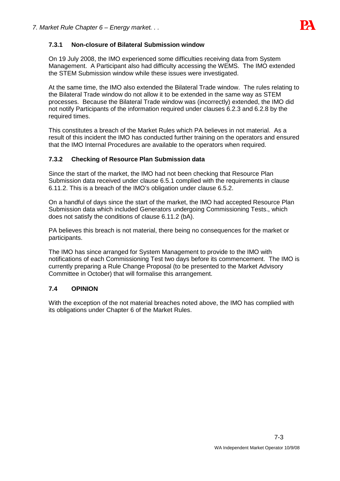

## **7.3.1 Non-closure of Bilateral Submission window**

On 19 July 2008, the IMO experienced some difficulties receiving data from System Management. A Participant also had difficulty accessing the WEMS. The IMO extended the STEM Submission window while these issues were investigated.

At the same time, the IMO also extended the Bilateral Trade window. The rules relating to the Bilateral Trade window do not allow it to be extended in the same way as STEM processes. Because the Bilateral Trade window was (incorrectly) extended, the IMO did not notify Participants of the information required under clauses 6.2.3 and 6.2.8 by the required times.

This constitutes a breach of the Market Rules which PA believes in not material. As a result of this incident the IMO has conducted further training on the operators and ensured that the IMO Internal Procedures are available to the operators when required.

## **7.3.2 Checking of Resource Plan Submission data**

Since the start of the market, the IMO had not been checking that Resource Plan Submission data received under clause 6.5.1 complied with the requirements in clause 6.11.2. This is a breach of the IMO's obligation under clause 6.5.2.

On a handful of days since the start of the market, the IMO had accepted Resource Plan Submission data which included Generators undergoing Commissioning Tests., which does not satisfy the conditions of clause 6.11.2 (bA).

PA believes this breach is not material, there being no consequences for the market or participants.

The IMO has since arranged for System Management to provide to the IMO with notifications of each Commissioning Test two days before its commencement. The IMO is currently preparing a Rule Change Proposal (to be presented to the Market Advisory Committee in October) that will formalise this arrangement.

## **7.4 OPINION**

With the exception of the not material breaches noted above, the IMO has complied with its obligations under Chapter 6 of the Market Rules.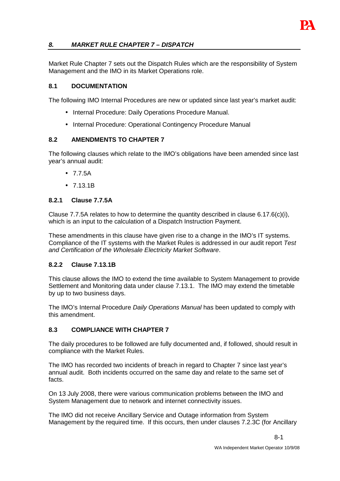

## **8. MARKET RULE CHAPTER 7 – DISPATCH**

Market Rule Chapter 7 sets out the Dispatch Rules which are the responsibility of System Management and the IMO in its Market Operations role.

#### **8.1 DOCUMENTATION**

The following IMO Internal Procedures are new or updated since last year's market audit:

- Internal Procedure: Daily Operations Procedure Manual.
- Internal Procedure: Operational Contingency Procedure Manual

#### **8.2 AMENDMENTS TO CHAPTER 7**

The following clauses which relate to the IMO's obligations have been amended since last year's annual audit:

- 7.7.5A
- 7.13.1B

#### **8.2.1 Clause 7.7.5A**

Clause 7.7.5A relates to how to determine the quantity described in clause  $6.17.6(c)(i)$ , which is an input to the calculation of a Dispatch Instruction Payment.

These amendments in this clause have given rise to a change in the IMO's IT systems. Compliance of the IT systems with the Market Rules is addressed in our audit report Test and Certification of the Wholesale Electricity Market Software.

#### **8.2.2 Clause 7.13.1B**

This clause allows the IMO to extend the time available to System Management to provide Settlement and Monitoring data under clause 7.13.1. The IMO may extend the timetable by up to two business days.

The IMO's Internal Procedure Daily Operations Manual has been updated to comply with this amendment.

#### **8.3 COMPLIANCE WITH CHAPTER 7**

The daily procedures to be followed are fully documented and, if followed, should result in compliance with the Market Rules.

The IMO has recorded two incidents of breach in regard to Chapter 7 since last year's annual audit. Both incidents occurred on the same day and relate to the same set of facts.

On 13 July 2008, there were various communication problems between the IMO and System Management due to network and internet connectivity issues.

The IMO did not receive Ancillary Service and Outage information from System Management by the required time. If this occurs, then under clauses 7.2.3C (for Ancillary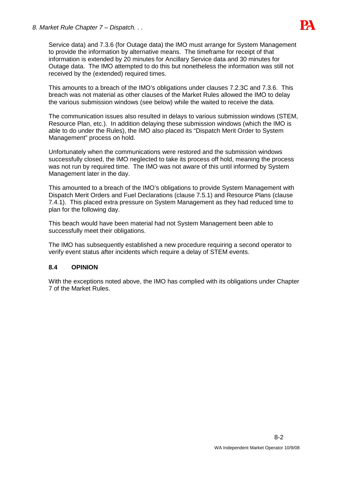

Service data) and 7.3.6 (for Outage data) the IMO must arrange for System Management to provide the information by alternative means. The timeframe for receipt of that information is extended by 20 minutes for Ancillary Service data and 30 minutes for Outage data. The IMO attempted to do this but nonetheless the information was still not received by the (extended) required times.

This amounts to a breach of the IMO's obligations under clauses 7.2.3C and 7.3.6. This breach was not material as other clauses of the Market Rules allowed the IMO to delay the various submission windows (see below) while the waited to receive the data.

The communication issues also resulted in delays to various submission windows (STEM, Resource Plan, etc.). In addition delaying these submission windows (which the IMO is able to do under the Rules), the IMO also placed its "Dispatch Merit Order to System Management" process on hold.

Unfortunately when the communications were restored and the submission windows successfully closed, the IMO neglected to take its process off hold, meaning the process was not run by required time. The IMO was not aware of this until informed by System Management later in the day.

This amounted to a breach of the IMO's obligations to provide System Management with Dispatch Merit Orders and Fuel Declarations (clause 7.5.1) and Resource Plans (clause 7.4.1). This placed extra pressure on System Management as they had reduced time to plan for the following day.

This beach would have been material had not System Management been able to successfully meet their obligations.

The IMO has subsequently established a new procedure requiring a second operator to verify event status after incidents which require a delay of STEM events.

## **8.4 OPINION**

With the exceptions noted above, the IMO has complied with its obligations under Chapter 7 of the Market Rules.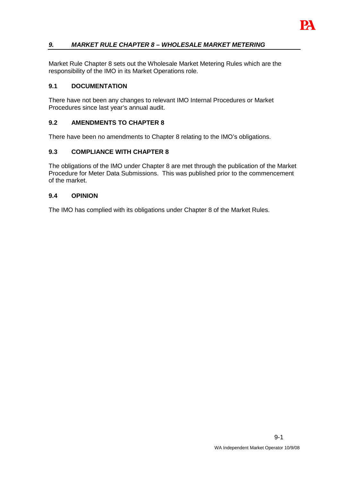

## **9. MARKET RULE CHAPTER 8 – WHOLESALE MARKET METERING**

Market Rule Chapter 8 sets out the Wholesale Market Metering Rules which are the responsibility of the IMO in its Market Operations role.

#### **9.1 DOCUMENTATION**

There have not been any changes to relevant IMO Internal Procedures or Market Procedures since last year's annual audit.

#### **9.2 AMENDMENTS TO CHAPTER 8**

There have been no amendments to Chapter 8 relating to the IMO's obligations.

#### **9.3 COMPLIANCE WITH CHAPTER 8**

The obligations of the IMO under Chapter 8 are met through the publication of the Market Procedure for Meter Data Submissions. This was published prior to the commencement of the market.

#### **9.4 OPINION**

The IMO has complied with its obligations under Chapter 8 of the Market Rules.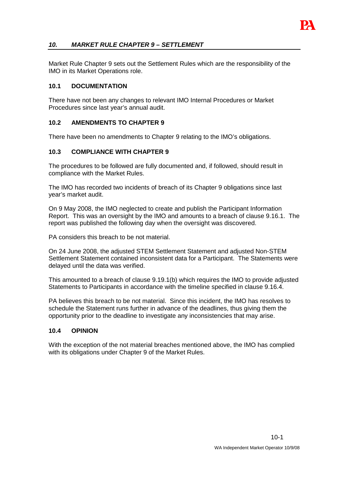

## **10. MARKET RULE CHAPTER 9 – SETTLEMENT**

Market Rule Chapter 9 sets out the Settlement Rules which are the responsibility of the IMO in its Market Operations role.

#### **10.1 DOCUMENTATION**

There have not been any changes to relevant IMO Internal Procedures or Market Procedures since last year's annual audit.

#### **10.2 AMENDMENTS TO CHAPTER 9**

There have been no amendments to Chapter 9 relating to the IMO's obligations.

#### **10.3 COMPLIANCE WITH CHAPTER 9**

The procedures to be followed are fully documented and, if followed, should result in compliance with the Market Rules.

The IMO has recorded two incidents of breach of its Chapter 9 obligations since last year's market audit.

On 9 May 2008, the IMO neglected to create and publish the Participant Information Report. This was an oversight by the IMO and amounts to a breach of clause 9.16.1. The report was published the following day when the oversight was discovered.

PA considers this breach to be not material.

On 24 June 2008, the adjusted STEM Settlement Statement and adjusted Non-STEM Settlement Statement contained inconsistent data for a Participant. The Statements were delayed until the data was verified.

This amounted to a breach of clause 9.19.1(b) which requires the IMO to provide adjusted Statements to Participants in accordance with the timeline specified in clause 9.16.4.

PA believes this breach to be not material. Since this incident, the IMO has resolves to schedule the Statement runs further in advance of the deadlines, thus giving them the opportunity prior to the deadline to investigate any inconsistencies that may arise.

#### **10.4 OPINION**

With the exception of the not material breaches mentioned above, the IMO has complied with its obligations under Chapter 9 of the Market Rules.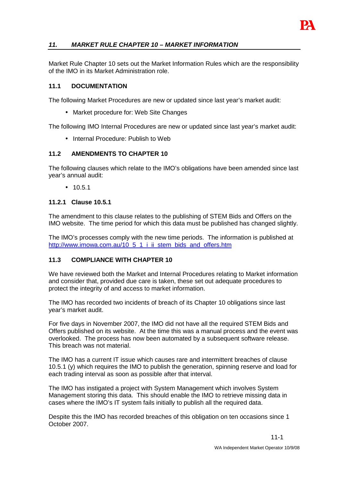

## **11. MARKET RULE CHAPTER 10 – MARKET INFORMATION**

Market Rule Chapter 10 sets out the Market Information Rules which are the responsibility of the IMO in its Market Administration role.

#### **11.1 DOCUMENTATION**

The following Market Procedures are new or updated since last year's market audit:

• Market procedure for: Web Site Changes

The following IMO Internal Procedures are new or updated since last year's market audit:

• Internal Procedure: Publish to Web

## **11.2 AMENDMENTS TO CHAPTER 10**

The following clauses which relate to the IMO's obligations have been amended since last year's annual audit:

• 10.5.1

#### **11.2.1 Clause 10.5.1**

The amendment to this clause relates to the publishing of STEM Bids and Offers on the IMO website. The time period for which this data must be published has changed slightly.

The IMO's processes comply with the new time periods. The information is published at http://www.imowa.com.au/10\_5\_1\_i\_ii\_stem\_bids\_and\_offers.htm

#### **11.3 COMPLIANCE WITH CHAPTER 10**

We have reviewed both the Market and Internal Procedures relating to Market information and consider that, provided due care is taken, these set out adequate procedures to protect the integrity of and access to market information.

The IMO has recorded two incidents of breach of its Chapter 10 obligations since last year's market audit.

For five days in November 2007, the IMO did not have all the required STEM Bids and Offers published on its website. At the time this was a manual process and the event was overlooked. The process has now been automated by a subsequent software release. This breach was not material.

The IMO has a current IT issue which causes rare and intermittent breaches of clause 10.5.1 (y) which requires the IMO to publish the generation, spinning reserve and load for each trading interval as soon as possible after that interval.

The IMO has instigated a project with System Management which involves System Management storing this data. This should enable the IMO to retrieve missing data in cases where the IMO's IT system fails initially to publish all the required data.

Despite this the IMO has recorded breaches of this obligation on ten occasions since 1 October 2007.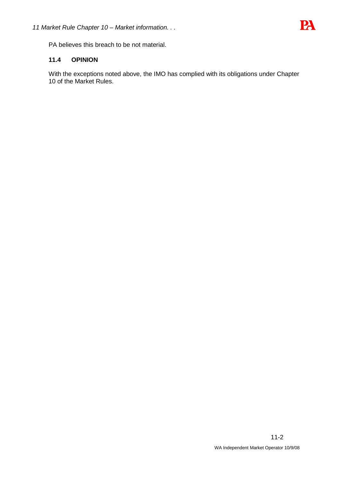

PA believes this breach to be not material.

### **11.4 OPINION**

With the exceptions noted above, the IMO has complied with its obligations under Chapter 10 of the Market Rules.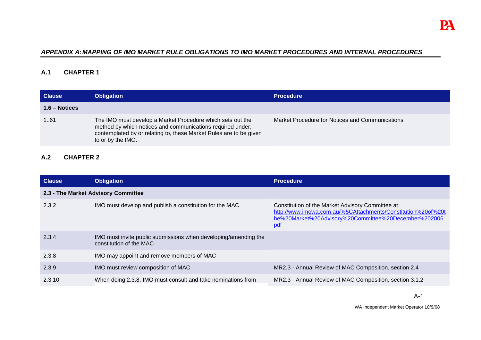## **APPENDIX A: MAPPING OF IMO MARKET RULE OBLIGATIONS TO IMO MARKET PROCEDURES AND INTERNAL PROCEDURES**

## **A.1 CHAPTER 1**

| <b>Clause</b>  | <b>Obligation</b>                                                                                                                                                                                                   | <b>Procedure</b>                                |
|----------------|---------------------------------------------------------------------------------------------------------------------------------------------------------------------------------------------------------------------|-------------------------------------------------|
| $1.6 - Notice$ |                                                                                                                                                                                                                     |                                                 |
| 161            | The IMO must develop a Market Procedure which sets out the<br>method by which notices and communications required under,<br>contemplated by or relating to, these Market Rules are to be given<br>to or by the IMO. | Market Procedure for Notices and Communications |

## **A.2 CHAPTER 2**

| <b>Clause</b> | <b>Obligation</b>                                                                          | <b>Procedure</b>                                                                                                                                                                 |
|---------------|--------------------------------------------------------------------------------------------|----------------------------------------------------------------------------------------------------------------------------------------------------------------------------------|
|               | 2.3 - The Market Advisory Committee                                                        |                                                                                                                                                                                  |
| 2.3.2         | IMO must develop and publish a constitution for the MAC                                    | Constitution of the Market Advisory Committee at<br>http://www.imowa.com.au/%5CAttachments/Constitution%20of%20t<br>he%20Market%20Advisory%20Committee%20December%202006.<br>pdf |
| 2.3.4         | IMO must invite public submissions when developing/amending the<br>constitution of the MAC |                                                                                                                                                                                  |
| 2.3.8         | IMO may appoint and remove members of MAC                                                  |                                                                                                                                                                                  |
| 2.3.9         | IMO must review composition of MAC                                                         | MR2.3 - Annual Review of MAC Composition, section 2.4                                                                                                                            |
| 2.3.10        | When doing 2.3.8, IMO must consult and take nominations from                               | MR2.3 - Annual Review of MAC Composition, section 3.1.2                                                                                                                          |

WA Independent Market Operator 10/9/08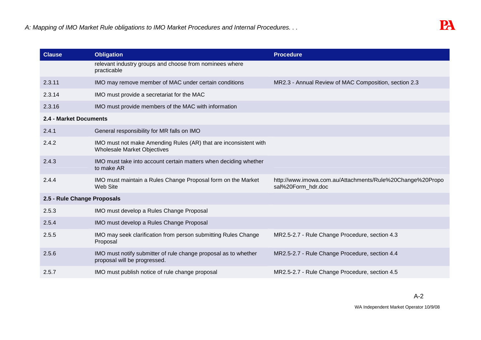| <b>Clause</b>               | <b>Obligation</b>                                                                                      | <b>Procedure</b>                                                                |
|-----------------------------|--------------------------------------------------------------------------------------------------------|---------------------------------------------------------------------------------|
|                             | relevant industry groups and choose from nominees where<br>practicable                                 |                                                                                 |
| 2.3.11                      | IMO may remove member of MAC under certain conditions                                                  | MR2.3 - Annual Review of MAC Composition, section 2.3                           |
| 2.3.14                      | IMO must provide a secretariat for the MAC                                                             |                                                                                 |
| 2.3.16                      | IMO must provide members of the MAC with information                                                   |                                                                                 |
| 2.4 - Market Documents      |                                                                                                        |                                                                                 |
| 2.4.1                       | General responsibility for MR falls on IMO                                                             |                                                                                 |
| 2.4.2                       | IMO must not make Amending Rules (AR) that are inconsistent with<br><b>Wholesale Market Objectives</b> |                                                                                 |
| 2.4.3                       | IMO must take into account certain matters when deciding whether<br>to make AR                         |                                                                                 |
| 2.4.4                       | IMO must maintain a Rules Change Proposal form on the Market<br>Web Site                               | http://www.imowa.com.au/Attachments/Rule%20Change%20Propo<br>sal%20Form_hdr.doc |
| 2.5 - Rule Change Proposals |                                                                                                        |                                                                                 |
| 2.5.3                       | IMO must develop a Rules Change Proposal                                                               |                                                                                 |
| 2.5.4                       | IMO must develop a Rules Change Proposal                                                               |                                                                                 |
| 2.5.5                       | IMO may seek clarification from person submitting Rules Change<br>Proposal                             | MR2.5-2.7 - Rule Change Procedure, section 4.3                                  |
| 2.5.6                       | IMO must notify submitter of rule change proposal as to whether<br>proposal will be progressed.        | MR2.5-2.7 - Rule Change Procedure, section 4.4                                  |
| 2.5.7                       | IMO must publish notice of rule change proposal                                                        | MR2.5-2.7 - Rule Change Procedure, section 4.5                                  |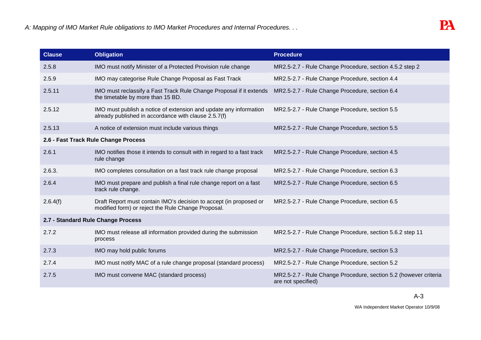| <b>Clause</b> | <b>Obligation</b>                                                                                                         | <b>Procedure</b>                                                                       |
|---------------|---------------------------------------------------------------------------------------------------------------------------|----------------------------------------------------------------------------------------|
| 2.5.8         | IMO must notify Minister of a Protected Provision rule change                                                             | MR2.5-2.7 - Rule Change Procedure, section 4.5.2 step 2                                |
| 2.5.9         | IMO may categorise Rule Change Proposal as Fast Track                                                                     | MR2.5-2.7 - Rule Change Procedure, section 4.4                                         |
| 2.5.11        | IMO must reclassify a Fast Track Rule Change Proposal if it extends<br>the timetable by more than 15 BD.                  | MR2.5-2.7 - Rule Change Procedure, section 6.4                                         |
| 2.5.12        | IMO must publish a notice of extension and update any information<br>already published in accordance with clause 2.5.7(f) | MR2.5-2.7 - Rule Change Procedure, section 5.5                                         |
| 2.5.13        | A notice of extension must include various things                                                                         | MR2.5-2.7 - Rule Change Procedure, section 5.5                                         |
|               | 2.6 - Fast Track Rule Change Process                                                                                      |                                                                                        |
| 2.6.1         | IMO notifies those it intends to consult with in regard to a fast track<br>rule change                                    | MR2.5-2.7 - Rule Change Procedure, section 4.5                                         |
| 2.6.3.        | IMO completes consultation on a fast track rule change proposal                                                           | MR2.5-2.7 - Rule Change Procedure, section 6.3                                         |
| 2.6.4         | IMO must prepare and publish a final rule change report on a fast<br>track rule change.                                   | MR2.5-2.7 - Rule Change Procedure, section 6.5                                         |
| 2.6.4(f)      | Draft Report must contain IMO's decision to accept (in proposed or<br>modified form) or reject the Rule Change Proposal.  | MR2.5-2.7 - Rule Change Procedure, section 6.5                                         |
|               | 2.7 - Standard Rule Change Process                                                                                        |                                                                                        |
| 2.7.2         | IMO must release all information provided during the submission<br>process                                                | MR2.5-2.7 - Rule Change Procedure, section 5.6.2 step 11                               |
| 2.7.3         | IMO may hold public forums                                                                                                | MR2.5-2.7 - Rule Change Procedure, section 5.3                                         |
| 2.7.4         | IMO must notify MAC of a rule change proposal (standard process)                                                          | MR2.5-2.7 - Rule Change Procedure, section 5.2                                         |
| 2.7.5         | IMO must convene MAC (standard process)                                                                                   | MR2.5-2.7 - Rule Change Procedure, section 5.2 (however criteria<br>are not specified) |

WA Independent Market Operator 10/9/08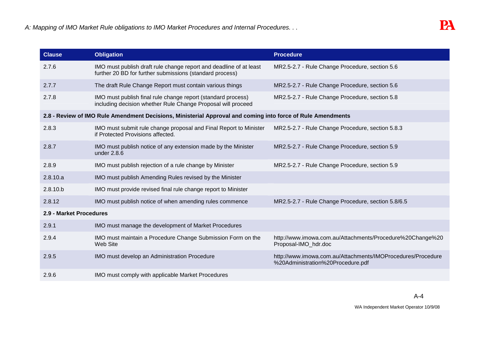| <b>Clause</b>           | <b>Obligation</b>                                                                                                              | <b>Procedure</b>                                                                                 |
|-------------------------|--------------------------------------------------------------------------------------------------------------------------------|--------------------------------------------------------------------------------------------------|
| 2.7.6                   | IMO must publish draft rule change report and deadline of at least<br>further 20 BD for further submissions (standard process) | MR2.5-2.7 - Rule Change Procedure, section 5.6                                                   |
| 2.7.7                   | The draft Rule Change Report must contain various things                                                                       | MR2.5-2.7 - Rule Change Procedure, section 5.6                                                   |
| 2.7.8                   | IMO must publish final rule change report (standard process)<br>including decision whether Rule Change Proposal will proceed   | MR2.5-2.7 - Rule Change Procedure, section 5.8                                                   |
|                         | 2.8 - Review of IMO Rule Amendment Decisions, Ministerial Approval and coming into force of Rule Amendments                    |                                                                                                  |
| 2.8.3                   | IMO must submit rule change proposal and Final Report to Minister<br>if Protected Provisions affected.                         | MR2.5-2.7 - Rule Change Procedure, section 5.8.3                                                 |
| 2.8.7                   | IMO must publish notice of any extension made by the Minister<br>under 2.8.6                                                   | MR2.5-2.7 - Rule Change Procedure, section 5.9                                                   |
| 2.8.9                   | IMO must publish rejection of a rule change by Minister                                                                        | MR2.5-2.7 - Rule Change Procedure, section 5.9                                                   |
| 2.8.10.a                | IMO must publish Amending Rules revised by the Minister                                                                        |                                                                                                  |
| 2.8.10.b                | IMO must provide revised final rule change report to Minister                                                                  |                                                                                                  |
| 2.8.12                  | IMO must publish notice of when amending rules commence                                                                        | MR2.5-2.7 - Rule Change Procedure, section 5.8/6.5                                               |
| 2.9 - Market Procedures |                                                                                                                                |                                                                                                  |
| 2.9.1                   | IMO must manage the development of Market Procedures                                                                           |                                                                                                  |
| 2.9.4                   | IMO must maintain a Procedure Change Submission Form on the<br>Web Site                                                        | http://www.imowa.com.au/Attachments/Procedure%20Change%20<br>Proposal-IMO_hdr.doc                |
| 2.9.5                   | IMO must develop an Administration Procedure                                                                                   | http://www.imowa.com.au/Attachments/IMOProcedures/Procedure<br>%20Administration%20Procedure.pdf |
| 2.9.6                   | IMO must comply with applicable Market Procedures                                                                              |                                                                                                  |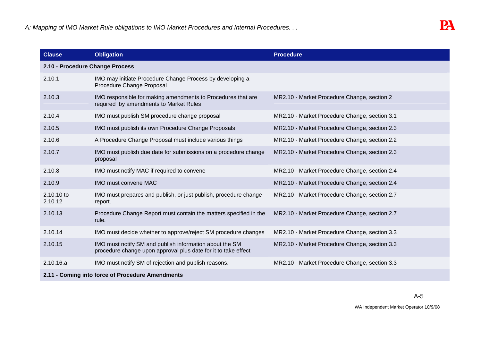| <b>Clause</b>                                    | <b>Obligation</b>                                                                                                         | <b>Procedure</b>                              |
|--------------------------------------------------|---------------------------------------------------------------------------------------------------------------------------|-----------------------------------------------|
| 2.10 - Procedure Change Process                  |                                                                                                                           |                                               |
| 2.10.1                                           | IMO may initiate Procedure Change Process by developing a<br>Procedure Change Proposal                                    |                                               |
| 2.10.3                                           | IMO responsible for making amendments to Procedures that are<br>required by amendments to Market Rules                    | MR2.10 - Market Procedure Change, section 2   |
| 2.10.4                                           | IMO must publish SM procedure change proposal                                                                             | MR2.10 - Market Procedure Change, section 3.1 |
| 2.10.5                                           | IMO must publish its own Procedure Change Proposals                                                                       | MR2.10 - Market Procedure Change, section 2.3 |
| 2.10.6                                           | A Procedure Change Proposal must include various things                                                                   | MR2.10 - Market Procedure Change, section 2.2 |
| 2.10.7                                           | IMO must publish due date for submissions on a procedure change<br>proposal                                               | MR2.10 - Market Procedure Change, section 2.3 |
| 2.10.8                                           | IMO must notify MAC if required to convene                                                                                | MR2.10 - Market Procedure Change, section 2.4 |
| 2.10.9                                           | IMO must convene MAC                                                                                                      | MR2.10 - Market Procedure Change, section 2.4 |
| 2.10.10 to<br>2.10.12                            | IMO must prepares and publish, or just publish, procedure change<br>report.                                               | MR2.10 - Market Procedure Change, section 2.7 |
| 2.10.13                                          | Procedure Change Report must contain the matters specified in the<br>rule.                                                | MR2.10 - Market Procedure Change, section 2.7 |
| 2.10.14                                          | IMO must decide whether to approve/reject SM procedure changes                                                            | MR2.10 - Market Procedure Change, section 3.3 |
| 2.10.15                                          | IMO must notify SM and publish information about the SM<br>procedure change upon approval plus date for it to take effect | MR2.10 - Market Procedure Change, section 3.3 |
| 2.10.16.a                                        | IMO must notify SM of rejection and publish reasons.                                                                      | MR2.10 - Market Procedure Change, section 3.3 |
| 2.11 - Coming into force of Procedure Amendments |                                                                                                                           |                                               |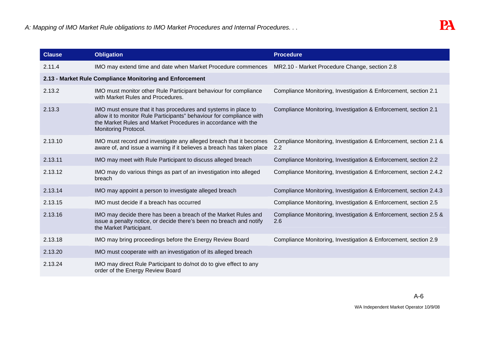| <b>Clause</b> | <b>Obligation</b>                                                                                                                                                                                                               | <b>Procedure</b>                                                         |
|---------------|---------------------------------------------------------------------------------------------------------------------------------------------------------------------------------------------------------------------------------|--------------------------------------------------------------------------|
| 2.11.4        | IMO may extend time and date when Market Procedure commences                                                                                                                                                                    | MR2.10 - Market Procedure Change, section 2.8                            |
|               | 2.13 - Market Rule Compliance Monitoring and Enforcement                                                                                                                                                                        |                                                                          |
| 2.13.2        | IMO must monitor other Rule Participant behaviour for compliance<br>with Market Rules and Procedures.                                                                                                                           | Compliance Monitoring, Investigation & Enforcement, section 2.1          |
| 2.13.3        | IMO must ensure that it has procedures and systems in place to<br>allow it to monitor Rule Participants" behaviour for compliance with<br>the Market Rules and Market Procedures in accordance with the<br>Monitoring Protocol. | Compliance Monitoring, Investigation & Enforcement, section 2.1          |
| 2.13.10       | IMO must record and investigate any alleged breach that it becomes<br>aware of, and issue a warning if it believes a breach has taken place                                                                                     | Compliance Monitoring, Investigation & Enforcement, section 2.1 &<br>2.2 |
| 2.13.11       | IMO may meet with Rule Participant to discuss alleged breach                                                                                                                                                                    | Compliance Monitoring, Investigation & Enforcement, section 2.2          |
| 2.13.12       | IMO may do various things as part of an investigation into alleged<br>breach                                                                                                                                                    | Compliance Monitoring, Investigation & Enforcement, section 2.4.2        |
| 2.13.14       | IMO may appoint a person to investigate alleged breach                                                                                                                                                                          | Compliance Monitoring, Investigation & Enforcement, section 2.4.3        |
| 2.13.15       | IMO must decide if a breach has occurred                                                                                                                                                                                        | Compliance Monitoring, Investigation & Enforcement, section 2.5          |
| 2.13.16       | IMO may decide there has been a breach of the Market Rules and<br>issue a penalty notice, or decide there's been no breach and notify<br>the Market Participant.                                                                | Compliance Monitoring, Investigation & Enforcement, section 2.5 &<br>2.6 |
| 2.13.18       | IMO may bring proceedings before the Energy Review Board                                                                                                                                                                        | Compliance Monitoring, Investigation & Enforcement, section 2.9          |
| 2.13.20       | IMO must cooperate with an investigation of its alleged breach                                                                                                                                                                  |                                                                          |
| 2.13.24       | IMO may direct Rule Participant to do/not do to give effect to any<br>order of the Energy Review Board                                                                                                                          |                                                                          |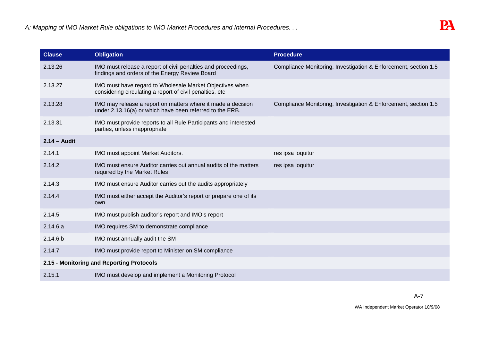| <b>Clause</b>  | <b>Obligation</b>                                                                                                        | <b>Procedure</b>                                                |
|----------------|--------------------------------------------------------------------------------------------------------------------------|-----------------------------------------------------------------|
| 2.13.26        | IMO must release a report of civil penalties and proceedings,<br>findings and orders of the Energy Review Board          | Compliance Monitoring, Investigation & Enforcement, section 1.5 |
| 2.13.27        | IMO must have regard to Wholesale Market Objectives when<br>considering circulating a report of civil penalties, etc     |                                                                 |
| 2.13.28        | IMO may release a report on matters where it made a decision<br>under 2.13.16(a) or which have been referred to the ERB. | Compliance Monitoring, Investigation & Enforcement, section 1.5 |
| 2.13.31        | IMO must provide reports to all Rule Participants and interested<br>parties, unless inappropriate                        |                                                                 |
| $2.14 -$ Audit |                                                                                                                          |                                                                 |
| 2.14.1         | IMO must appoint Market Auditors.                                                                                        | res ipsa loquitur                                               |
| 2.14.2         | IMO must ensure Auditor carries out annual audits of the matters<br>required by the Market Rules                         | res ipsa loquitur                                               |
| 2.14.3         | IMO must ensure Auditor carries out the audits appropriately                                                             |                                                                 |
| 2.14.4         | IMO must either accept the Auditor's report or prepare one of its<br>own.                                                |                                                                 |
| 2.14.5         | IMO must publish auditor's report and IMO's report                                                                       |                                                                 |
| 2.14.6.a       | IMO requires SM to demonstrate compliance                                                                                |                                                                 |
| 2.14.6.b       | IMO must annually audit the SM                                                                                           |                                                                 |
| 2.14.7         | IMO must provide report to Minister on SM compliance                                                                     |                                                                 |
|                | 2.15 - Monitoring and Reporting Protocols                                                                                |                                                                 |
| 2.15.1         | IMO must develop and implement a Monitoring Protocol                                                                     |                                                                 |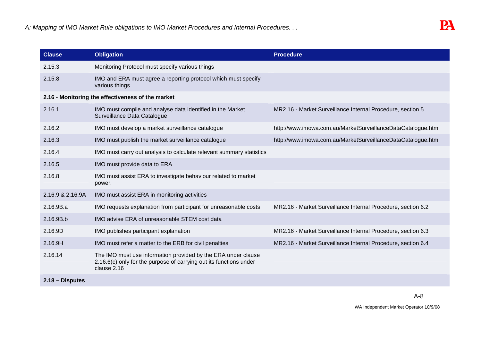| <b>Clause</b>    | <b>Obligation</b>                                                                                                                                  | <b>Procedure</b>                                             |
|------------------|----------------------------------------------------------------------------------------------------------------------------------------------------|--------------------------------------------------------------|
| 2.15.3           | Monitoring Protocol must specify various things                                                                                                    |                                                              |
| 2.15.8           | IMO and ERA must agree a reporting protocol which must specify<br>various things                                                                   |                                                              |
|                  | 2.16 - Monitoring the effectiveness of the market                                                                                                  |                                                              |
| 2.16.1           | IMO must compile and analyse data identified in the Market<br>Surveillance Data Catalogue                                                          | MR2.16 - Market Surveillance Internal Procedure, section 5   |
| 2.16.2           | IMO must develop a market surveillance catalogue                                                                                                   | http://www.imowa.com.au/MarketSurveillanceDataCatalogue.htm  |
| 2.16.3           | IMO must publish the market surveillance catalogue                                                                                                 | http://www.imowa.com.au/MarketSurveillanceDataCatalogue.htm  |
| 2.16.4           | IMO must carry out analysis to calculate relevant summary statistics                                                                               |                                                              |
| 2.16.5           | IMO must provide data to ERA                                                                                                                       |                                                              |
| 2.16.8           | IMO must assist ERA to investigate behaviour related to market<br>power.                                                                           |                                                              |
| 2.16.9 & 2.16.9A | IMO must assist ERA in monitoring activities                                                                                                       |                                                              |
| 2.16.9B.a        | IMO requests explanation from participant for unreasonable costs                                                                                   | MR2.16 - Market Surveillance Internal Procedure, section 6.2 |
| 2.16.9B.b        | IMO advise ERA of unreasonable STEM cost data                                                                                                      |                                                              |
| 2.16.9D          | IMO publishes participant explanation                                                                                                              | MR2.16 - Market Surveillance Internal Procedure, section 6.3 |
| 2.16.9H          | IMO must refer a matter to the ERB for civil penalties                                                                                             | MR2.16 - Market Surveillance Internal Procedure, section 6.4 |
| 2.16.14          | The IMO must use information provided by the ERA under clause<br>2.16.6(c) only for the purpose of carrying out its functions under<br>clause 2.16 |                                                              |
| 2.18 – Disputes  |                                                                                                                                                    |                                                              |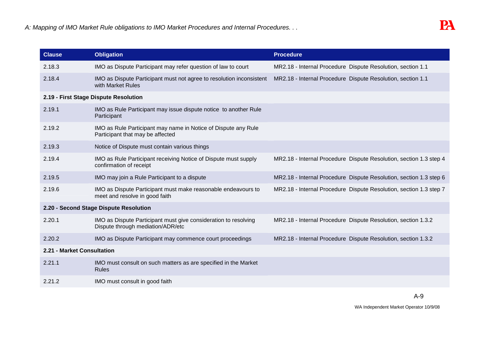| <b>Clause</b>                          | <b>Obligation</b>                                                                                    | <b>Procedure</b>                                                   |
|----------------------------------------|------------------------------------------------------------------------------------------------------|--------------------------------------------------------------------|
| 2.18.3                                 | IMO as Dispute Participant may refer question of law to court                                        | MR2.18 - Internal Procedure Dispute Resolution, section 1.1        |
| 2.18.4                                 | IMO as Dispute Participant must not agree to resolution inconsistent<br>with Market Rules            | MR2.18 - Internal Procedure Dispute Resolution, section 1.1        |
| 2.19 - First Stage Dispute Resolution  |                                                                                                      |                                                                    |
| 2.19.1                                 | IMO as Rule Participant may issue dispute notice to another Rule<br>Participant                      |                                                                    |
| 2.19.2                                 | IMO as Rule Participant may name in Notice of Dispute any Rule<br>Participant that may be affected   |                                                                    |
| 2.19.3                                 | Notice of Dispute must contain various things                                                        |                                                                    |
| 2.19.4                                 | IMO as Rule Participant receiving Notice of Dispute must supply<br>confirmation of receipt           | MR2.18 - Internal Procedure Dispute Resolution, section 1.3 step 4 |
| 2.19.5                                 | IMO may join a Rule Participant to a dispute                                                         | MR2.18 - Internal Procedure Dispute Resolution, section 1.3 step 6 |
| 2.19.6                                 | IMO as Dispute Participant must make reasonable endeavours to<br>meet and resolve in good faith      | MR2.18 - Internal Procedure Dispute Resolution, section 1.3 step 7 |
| 2.20 - Second Stage Dispute Resolution |                                                                                                      |                                                                    |
| 2.20.1                                 | IMO as Dispute Participant must give consideration to resolving<br>Dispute through mediation/ADR/etc | MR2.18 - Internal Procedure Dispute Resolution, section 1.3.2      |
| 2.20.2                                 | IMO as Dispute Participant may commence court proceedings                                            | MR2.18 - Internal Procedure Dispute Resolution, section 1.3.2      |
| 2.21 - Market Consultation             |                                                                                                      |                                                                    |
| 2.21.1                                 | IMO must consult on such matters as are specified in the Market<br><b>Rules</b>                      |                                                                    |
| 2.21.2                                 | IMO must consult in good faith                                                                       |                                                                    |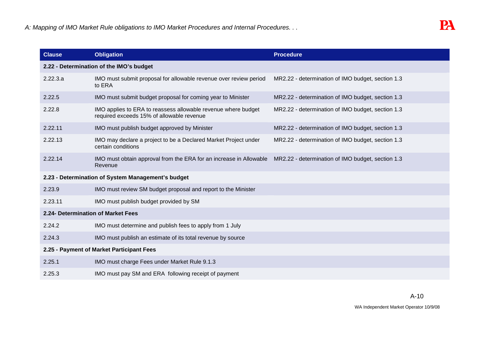| <b>Clause</b>                                      | <b>Obligation</b>                                                                                          | <b>Procedure</b>                                  |  |  |
|----------------------------------------------------|------------------------------------------------------------------------------------------------------------|---------------------------------------------------|--|--|
| 2.22 - Determination of the IMO's budget           |                                                                                                            |                                                   |  |  |
| 2.22.3.a                                           | IMO must submit proposal for allowable revenue over review period<br>to ERA                                | MR2.22 - determination of IMO budget, section 1.3 |  |  |
| 2.22.5                                             | IMO must submit budget proposal for coming year to Minister                                                | MR2.22 - determination of IMO budget, section 1.3 |  |  |
| 2.22.8                                             | IMO applies to ERA to reassess allowable revenue where budget<br>required exceeds 15% of allowable revenue | MR2.22 - determination of IMO budget, section 1.3 |  |  |
| 2.22.11                                            | IMO must publish budget approved by Minister                                                               | MR2.22 - determination of IMO budget, section 1.3 |  |  |
| 2.22.13                                            | IMO may declare a project to be a Declared Market Project under<br>certain conditions                      | MR2.22 - determination of IMO budget, section 1.3 |  |  |
| 2.22.14                                            | IMO must obtain approval from the ERA for an increase in Allowable<br>Revenue                              | MR2.22 - determination of IMO budget, section 1.3 |  |  |
| 2.23 - Determination of System Management's budget |                                                                                                            |                                                   |  |  |
| 2.23.9                                             | IMO must review SM budget proposal and report to the Minister                                              |                                                   |  |  |
| 2.23.11                                            | IMO must publish budget provided by SM                                                                     |                                                   |  |  |
|                                                    | 2.24- Determination of Market Fees                                                                         |                                                   |  |  |
| 2.24.2                                             | IMO must determine and publish fees to apply from 1 July                                                   |                                                   |  |  |
| 2.24.3                                             | IMO must publish an estimate of its total revenue by source                                                |                                                   |  |  |
| 2.25 - Payment of Market Participant Fees          |                                                                                                            |                                                   |  |  |
| 2.25.1                                             | IMO must charge Fees under Market Rule 9.1.3                                                               |                                                   |  |  |
| 2.25.3                                             | IMO must pay SM and ERA following receipt of payment                                                       |                                                   |  |  |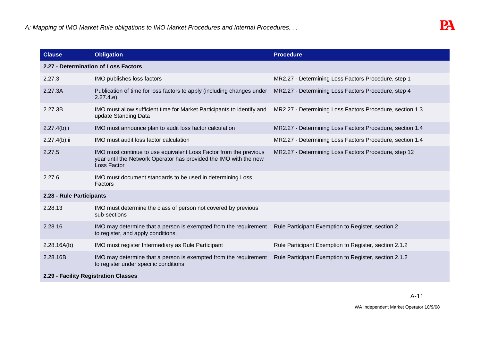| <b>Clause</b>                        | <b>Obligation</b>                                                                                                                                     | <b>Procedure</b>                                         |  |  |
|--------------------------------------|-------------------------------------------------------------------------------------------------------------------------------------------------------|----------------------------------------------------------|--|--|
|                                      | 2.27 - Determination of Loss Factors                                                                                                                  |                                                          |  |  |
| 2.27.3                               | IMO publishes loss factors                                                                                                                            | MR2.27 - Determining Loss Factors Procedure, step 1      |  |  |
| 2.27.3A                              | Publication of time for loss factors to apply (including changes under<br>2.27.4.e)                                                                   | MR2.27 - Determining Loss Factors Procedure, step 4      |  |  |
| 2.27.3B                              | IMO must allow sufficient time for Market Participants to identify and<br>update Standing Data                                                        | MR2.27 - Determining Loss Factors Procedure, section 1.3 |  |  |
| 2.27.4(b).i                          | IMO must announce plan to audit loss factor calculation                                                                                               | MR2.27 - Determining Loss Factors Procedure, section 1.4 |  |  |
| 2.27.4(b).ii                         | IMO must audit loss factor calculation                                                                                                                | MR2.27 - Determining Loss Factors Procedure, section 1.4 |  |  |
| 2.27.5                               | IMO must continue to use equivalent Loss Factor from the previous<br>year until the Network Operator has provided the IMO with the new<br>Loss Factor | MR2.27 - Determining Loss Factors Procedure, step 12     |  |  |
| 2.27.6                               | IMO must document standards to be used in determining Loss<br>Factors                                                                                 |                                                          |  |  |
| 2.28 - Rule Participants             |                                                                                                                                                       |                                                          |  |  |
| 2.28.13                              | IMO must determine the class of person not covered by previous<br>sub-sections                                                                        |                                                          |  |  |
| 2.28.16                              | IMO may determine that a person is exempted from the requirement<br>to register, and apply conditions.                                                | Rule Participant Exemption to Register, section 2        |  |  |
| 2.28.16A(b)                          | IMO must register Intermediary as Rule Participant                                                                                                    | Rule Participant Exemption to Register, section 2.1.2    |  |  |
| 2.28.16B                             | IMO may determine that a person is exempted from the requirement<br>to register under specific conditions                                             | Rule Participant Exemption to Register, section 2.1.2    |  |  |
| 2.29 - Facility Registration Classes |                                                                                                                                                       |                                                          |  |  |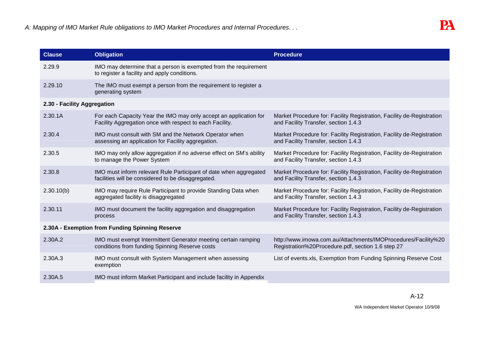| <b>Clause</b>               | <b>Obligation</b>                                                                                                             | <b>Procedure</b>                                                                                                   |  |
|-----------------------------|-------------------------------------------------------------------------------------------------------------------------------|--------------------------------------------------------------------------------------------------------------------|--|
| 2.29.9                      | IMO may determine that a person is exempted from the requirement<br>to register a facility and apply conditions.              |                                                                                                                    |  |
| 2.29.10                     | The IMO must exempt a person from the requirement to register a<br>generating system                                          |                                                                                                                    |  |
| 2.30 - Facility Aggregation |                                                                                                                               |                                                                                                                    |  |
| 2.30.1A                     | For each Capacity Year the IMO may only accept an application for<br>Facility Aggregation once with respect to each Facility. | Market Procedure for: Facility Registration, Facility de-Registration<br>and Facility Transfer, section 1.4.3      |  |
| 2.30.4                      | IMO must consult with SM and the Network Operator when<br>assessing an application for Facility aggregation.                  | Market Procedure for: Facility Registration, Facility de-Registration<br>and Facility Transfer, section 1.4.3      |  |
| 2.30.5                      | IMO may only allow aggregation if no adverse effect on SM's ability<br>to manage the Power System                             | Market Procedure for: Facility Registration, Facility de-Registration<br>and Facility Transfer, section 1.4.3      |  |
| 2.30.8                      | IMO must inform relevant Rule Participant of date when aggregated<br>facilities will be considered to be disaggregated.       | Market Procedure for: Facility Registration, Facility de-Registration<br>and Facility Transfer, section 1.4.3      |  |
| 2.30.10(b)                  | IMO may require Rule Participant to provide Standing Data when<br>aggregated facility is disaggregated                        | Market Procedure for: Facility Registration, Facility de-Registration<br>and Facility Transfer, section 1.4.3      |  |
| 2.30.11                     | IMO must document the facility aggregation and disaggregation<br>process                                                      | Market Procedure for: Facility Registration, Facility de-Registration<br>and Facility Transfer, section 1.4.3      |  |
|                             | 2.30A - Exemption from Funding Spinning Reserve                                                                               |                                                                                                                    |  |
| 2.30A.2                     | IMO must exempt Intermittent Generator meeting certain ramping<br>conditions from funding Spinning Reserve costs              | http://www.imowa.com.au/Attachments/IMOProcedures/Facility%20<br>Registration%20Procedure.pdf, section 1.6 step 27 |  |
| 2.30A.3                     | IMO must consult with System Management when assessing<br>exemption                                                           | List of events.xls, Exemption from Funding Spinning Reserve Cost                                                   |  |
| 2.30A.5                     | IMO must inform Market Participant and include facility in Appendix                                                           |                                                                                                                    |  |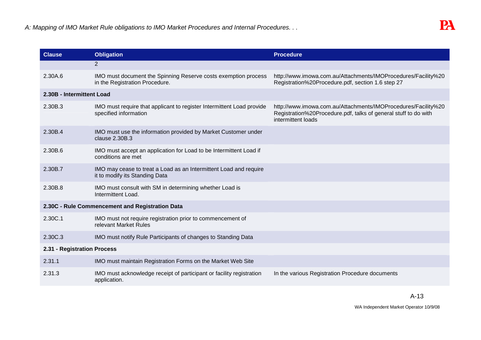| <b>Clause</b>               | <b>Obligation</b><br><b>Procedure</b>                                                               |                                                                                                                                                        |
|-----------------------------|-----------------------------------------------------------------------------------------------------|--------------------------------------------------------------------------------------------------------------------------------------------------------|
|                             | $\overline{2}$                                                                                      |                                                                                                                                                        |
| 2.30A.6                     | IMO must document the Spinning Reserve costs exemption process<br>in the Registration Procedure.    | http://www.imowa.com.au/Attachments/IMOProcedures/Facility%20<br>Registration%20Procedure.pdf, section 1.6 step 27                                     |
| 2.30B - Intermittent Load   |                                                                                                     |                                                                                                                                                        |
| 2.30B.3                     | IMO must require that applicant to register Intermittent Load provide<br>specified information      | http://www.imowa.com.au/Attachments/IMOProcedures/Facility%20<br>Registration%20Procedure.pdf, talks of general stuff to do with<br>intermittent loads |
| 2.30B.4                     | IMO must use the information provided by Market Customer under<br>clause 2.30B.3                    |                                                                                                                                                        |
| 2.30B.6                     | IMO must accept an application for Load to be Intermittent Load if<br>conditions are met            |                                                                                                                                                        |
| 2.30B.7                     | IMO may cease to treat a Load as an Intermittent Load and require<br>it to modify its Standing Data |                                                                                                                                                        |
| 2.30B.8                     | IMO must consult with SM in determining whether Load is<br>Intermittent Load.                       |                                                                                                                                                        |
|                             | 2.30C - Rule Commencement and Registration Data                                                     |                                                                                                                                                        |
| 2.30C.1                     | IMO must not require registration prior to commencement of<br>relevant Market Rules                 |                                                                                                                                                        |
| 2.30C.3                     | IMO must notify Rule Participants of changes to Standing Data                                       |                                                                                                                                                        |
| 2.31 - Registration Process |                                                                                                     |                                                                                                                                                        |
| 2.31.1                      | IMO must maintain Registration Forms on the Market Web Site                                         |                                                                                                                                                        |
| 2.31.3                      | IMO must acknowledge receipt of participant or facility registration<br>application.                | In the various Registration Procedure documents                                                                                                        |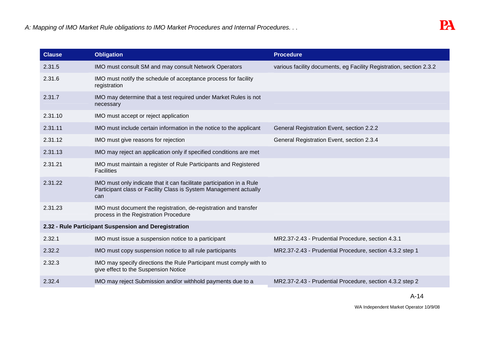| <b>Clause</b> | <b>Obligation</b>                                                                                                                                 | <b>Procedure</b>                                                    |  |
|---------------|---------------------------------------------------------------------------------------------------------------------------------------------------|---------------------------------------------------------------------|--|
| 2.31.5        | IMO must consult SM and may consult Network Operators                                                                                             | various facility documents, eg Facility Registration, section 2.3.2 |  |
| 2.31.6        | IMO must notify the schedule of acceptance process for facility<br>registration                                                                   |                                                                     |  |
| 2.31.7        | IMO may determine that a test required under Market Rules is not<br>necessary                                                                     |                                                                     |  |
| 2.31.10       | IMO must accept or reject application                                                                                                             |                                                                     |  |
| 2.31.11       | IMO must include certain information in the notice to the applicant                                                                               | General Registration Event, section 2.2.2                           |  |
| 2.31.12       | IMO must give reasons for rejection                                                                                                               | General Registration Event, section 2.3.4                           |  |
| 2.31.13       | IMO may reject an application only if specified conditions are met                                                                                |                                                                     |  |
| 2.31.21       | IMO must maintain a register of Rule Participants and Registered<br><b>Facilities</b>                                                             |                                                                     |  |
| 2.31.22       | IMO must only indicate that it can facilitate participation in a Rule<br>Participant class or Facility Class is System Management actually<br>can |                                                                     |  |
| 2.31.23       | IMO must document the registration, de-registration and transfer<br>process in the Registration Procedure                                         |                                                                     |  |
|               | 2.32 - Rule Participant Suspension and Deregistration                                                                                             |                                                                     |  |
| 2.32.1        | IMO must issue a suspension notice to a participant                                                                                               | MR2.37-2.43 - Prudential Procedure, section 4.3.1                   |  |
| 2.32.2        | IMO must copy suspension notice to all rule participants                                                                                          | MR2.37-2.43 - Prudential Procedure, section 4.3.2 step 1            |  |
| 2.32.3        | IMO may specify directions the Rule Participant must comply with to<br>give effect to the Suspension Notice                                       |                                                                     |  |
| 2.32.4        | IMO may reject Submission and/or withhold payments due to a                                                                                       | MR2.37-2.43 - Prudential Procedure, section 4.3.2 step 2            |  |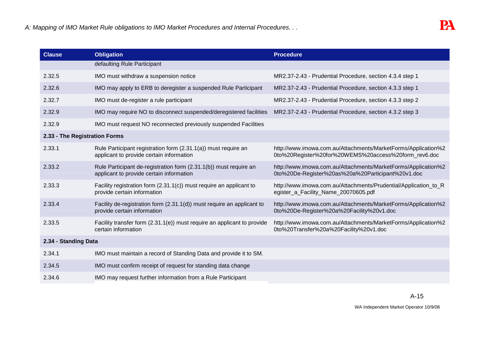| <b>Clause</b>                 | <b>Obligation</b>                                                                                             | <b>Procedure</b>                                                                                                      |
|-------------------------------|---------------------------------------------------------------------------------------------------------------|-----------------------------------------------------------------------------------------------------------------------|
|                               | defaulting Rule Participant                                                                                   |                                                                                                                       |
| 2.32.5                        | IMO must withdraw a suspension notice                                                                         | MR2.37-2.43 - Prudential Procedure, section 4.3.4 step 1                                                              |
| 2.32.6                        | IMO may apply to ERB to deregister a suspended Rule Participant                                               | MR2.37-2.43 - Prudential Procedure, section 4.3.3 step 1                                                              |
| 2.32.7                        | IMO must de-register a rule participant                                                                       | MR2.37-2.43 - Prudential Procedure, section 4.3.3 step 2                                                              |
| 2.32.9                        | IMO may require NO to disconnect suspended/deregistered facilities                                            | MR2.37-2.43 - Prudential Procedure, section 4.3.2 step 3                                                              |
| 2.32.9                        | IMO must request NO reconnected previously suspended Facilities                                               |                                                                                                                       |
| 2.33 - The Registration Forms |                                                                                                               |                                                                                                                       |
| 2.33.1                        | Rule Participant registration form (2.31.1(a)) must require an<br>applicant to provide certain information    | http://www.imowa.com.au/Attachments/MarketForms/Application%2<br>0to%20Register%20for%20WEMS%20access%20form_rev6.doc |
| 2.33.2                        | Rule Participant de-registration form (2.31.1(b)) must require an<br>applicant to provide certain information | http://www.imowa.com.au/Attachments/MarketForms/Application%2<br>0to%20De-Register%20as%20a%20Participant%20v1.doc    |
| 2.33.3                        | Facility registration form (2.31.1(c)) must require an applicant to<br>provide certain information            | http://www.imowa.com.au/Attachments/Prudential/Application_to_R<br>egister_a_Facility_Name_20070605.pdf               |
| 2.33.4                        | Facility de-registration form (2.31.1(d)) must require an applicant to<br>provide certain information         | http://www.imowa.com.au/Attachments/MarketForms/Application%2<br>0to%20De-Register%20a%20Facility%20v1.doc            |
| 2.33.5                        | Facility transfer form (2.31.1(e)) must require an applicant to provide<br>certain information                | http://www.imowa.com.au/Attachments/MarketForms/Application%2<br>0to%20Transfer%20a%20Facility%20v1.doc               |
| 2.34 - Standing Data          |                                                                                                               |                                                                                                                       |
| 2.34.1                        | IMO must maintain a record of Standing Data and provide it to SM.                                             |                                                                                                                       |
| 2.34.5                        | IMO must confirm receipt of request for standing data change                                                  |                                                                                                                       |
| 2.34.6                        | IMO may request further information from a Rule Participant                                                   |                                                                                                                       |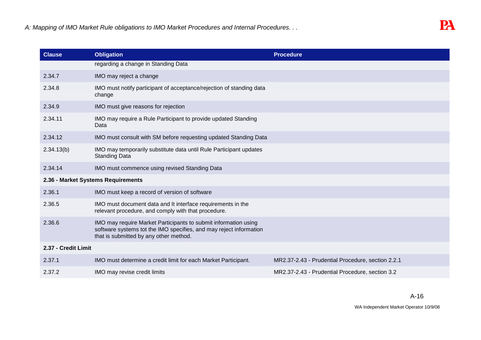| <b>Clause</b>       | <b>Obligation</b>                                                                                                                                                               | <b>Procedure</b>                                  |
|---------------------|---------------------------------------------------------------------------------------------------------------------------------------------------------------------------------|---------------------------------------------------|
|                     | regarding a change in Standing Data                                                                                                                                             |                                                   |
| 2.34.7              | IMO may reject a change                                                                                                                                                         |                                                   |
| 2.34.8              | IMO must notify participant of acceptance/rejection of standing data<br>change                                                                                                  |                                                   |
| 2.34.9              | IMO must give reasons for rejection                                                                                                                                             |                                                   |
| 2.34.11             | IMO may require a Rule Participant to provide updated Standing<br>Data                                                                                                          |                                                   |
| 2.34.12             | IMO must consult with SM before requesting updated Standing Data                                                                                                                |                                                   |
| 2.34.13(b)          | IMO may temporarily substitute data until Rule Participant updates<br><b>Standing Data</b>                                                                                      |                                                   |
| 2.34.14             | IMO must commence using revised Standing Data                                                                                                                                   |                                                   |
|                     | 2.36 - Market Systems Requirements                                                                                                                                              |                                                   |
| 2.36.1              | IMO must keep a record of version of software                                                                                                                                   |                                                   |
| 2.36.5              | IMO must document data and It interface requirements in the<br>relevant procedure, and comply with that procedure.                                                              |                                                   |
| 2.36.6              | IMO may require Market Participants to submit information using<br>software systems tot the IMO specifies, and may reject information<br>that is submitted by any other method. |                                                   |
| 2.37 - Credit Limit |                                                                                                                                                                                 |                                                   |
| 2.37.1              | IMO must determine a credit limit for each Market Participant.                                                                                                                  | MR2.37-2.43 - Prudential Procedure, section 2.2.1 |
| 2.37.2              | IMO may revise credit limits                                                                                                                                                    | MR2.37-2.43 - Prudential Procedure, section 3.2   |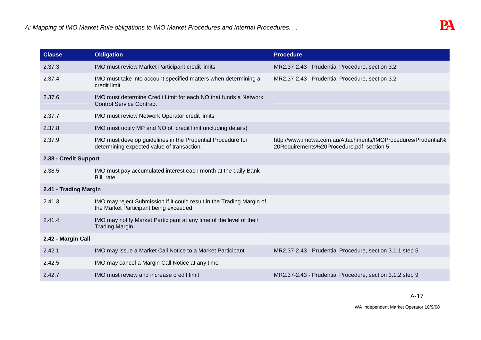| <b>Clause</b>         | <b>Obligation</b>                                                                                              | <b>Procedure</b>                                                                                           |
|-----------------------|----------------------------------------------------------------------------------------------------------------|------------------------------------------------------------------------------------------------------------|
| 2.37.3                | IMO must review Market Participant credit limits                                                               | MR2.37-2.43 - Prudential Procedure, section 3.2                                                            |
| 2.37.4                | IMO must take into account specified matters when determining a<br>credit limit                                | MR2.37-2.43 - Prudential Procedure, section 3.2                                                            |
| 2.37.6                | IMO must determine Credit Limit for each NO that funds a Network<br><b>Control Service Contract</b>            |                                                                                                            |
| 2.37.7                | IMO must review Network Operator credit limits                                                                 |                                                                                                            |
| 2.37.8                | IMO must notify MP and NO of credit limit (including details)                                                  |                                                                                                            |
| 2.37.9                | IMO must develop guidelines in the Prudential Procedure for<br>determining expected value of transaction.      | http://www.imowa.com.au/Attachments/IMOProcedures/Prudential%<br>20Requirements%20Procedure.pdf, section 5 |
| 2.38 - Credit Support |                                                                                                                |                                                                                                            |
| 2.38.5                | IMO must pay accumulated interest each month at the daily Bank<br>Bill rate.                                   |                                                                                                            |
| 2.41 - Trading Margin |                                                                                                                |                                                                                                            |
| 2.41.3                | IMO may reject Submission if it could result in the Trading Margin of<br>the Market Participant being exceeded |                                                                                                            |
| 2.41.4                | IMO may notify Market Participant at any time of the level of their<br><b>Trading Margin</b>                   |                                                                                                            |
| 2.42 - Margin Call    |                                                                                                                |                                                                                                            |
| 2.42.1                | IMO may issue a Market Call Notice to a Market Participant                                                     | MR2.37-2.43 - Prudential Procedure, section 3.1.1 step 5                                                   |
| 2.42.5                | IMO may cancel a Margin Call Notice at any time                                                                |                                                                                                            |
| 2.42.7                | IMO must review and increase credit limit                                                                      | MR2.37-2.43 - Prudential Procedure, section 3.1.2 step 9                                                   |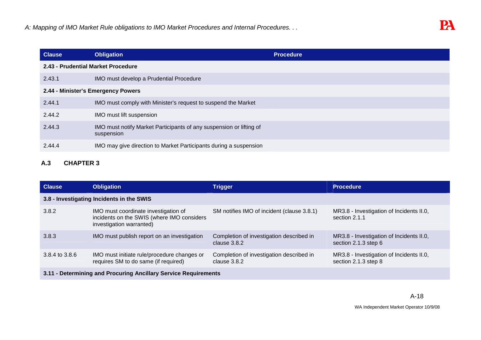| <b>Clause</b>                      | <b>Obligation</b>                                                                 | <b>Procedure</b> |
|------------------------------------|-----------------------------------------------------------------------------------|------------------|
| 2.43 - Prudential Market Procedure |                                                                                   |                  |
| 2.43.1                             | IMO must develop a Prudential Procedure                                           |                  |
|                                    | 2.44 - Minister's Emergency Powers                                                |                  |
| 2.44.1                             | IMO must comply with Minister's request to suspend the Market                     |                  |
| 2.44.2                             | IMO must lift suspension                                                          |                  |
| 2.44.3                             | IMO must notify Market Participants of any suspension or lifting of<br>suspension |                  |
| 2.44.4                             | IMO may give direction to Market Participants during a suspension                 |                  |

# **A.3 CHAPTER 3**

| $ $ Clause                                                      | <b>Obligation</b>                                                                                              | <b>Trigger</b>                                           | <b>Procedure</b>                                                 |
|-----------------------------------------------------------------|----------------------------------------------------------------------------------------------------------------|----------------------------------------------------------|------------------------------------------------------------------|
|                                                                 | 3.8 - Investigating Incidents in the SWIS                                                                      |                                                          |                                                                  |
| 3.8.2                                                           | IMO must coordinate investigation of<br>incidents on the SWIS (where IMO considers<br>investigation warranted) | SM notifies IMO of incident (clause 3.8.1)               | MR3.8 - Investigation of Incidents II.0,<br>section 2.1.1        |
| 3.8.3                                                           | IMO must publish report on an investigation                                                                    | Completion of investigation described in<br>clause 3.8.2 | MR3.8 - Investigation of Incidents II.0,<br>section 2.1.3 step 6 |
| 3.8.4 to 3.8.6                                                  | IMO must initiate rule/procedure changes or<br>requires SM to do same (if required)                            | Completion of investigation described in<br>clause 3.8.2 | MR3.8 - Investigation of Incidents II.0,<br>section 2.1.3 step 8 |
| 3.11 - Determining and Procuring Ancillary Service Requirements |                                                                                                                |                                                          |                                                                  |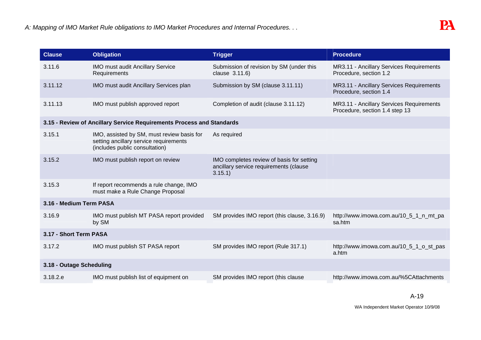| <b>Clause</b>            | <b>Obligation</b>                                                                                                      | <b>Trigger</b>                                                                                | <b>Procedure</b>                                                           |
|--------------------------|------------------------------------------------------------------------------------------------------------------------|-----------------------------------------------------------------------------------------------|----------------------------------------------------------------------------|
| 3.11.6                   | IMO must audit Ancillary Service<br>Requirements                                                                       | Submission of revision by SM (under this<br>clause 3.11.6)                                    | MR3.11 - Ancillary Services Requirements<br>Procedure, section 1.2         |
| 3.11.12                  | IMO must audit Ancillary Services plan                                                                                 | Submission by SM (clause 3.11.11)                                                             | MR3.11 - Ancillary Services Requirements<br>Procedure, section 1.4         |
| 3.11.13                  | IMO must publish approved report                                                                                       | Completion of audit (clause 3.11.12)                                                          | MR3.11 - Ancillary Services Requirements<br>Procedure, section 1.4 step 13 |
|                          | 3.15 - Review of Ancillary Service Requirements Process and Standards                                                  |                                                                                               |                                                                            |
| 3.15.1                   | IMO, assisted by SM, must review basis for<br>setting ancillary service requirements<br>(includes public consultation) | As required                                                                                   |                                                                            |
| 3.15.2                   | IMO must publish report on review                                                                                      | IMO completes review of basis for setting<br>ancillary service requirements (clause<br>3.15.1 |                                                                            |
| 3.15.3                   | If report recommends a rule change, IMO<br>must make a Rule Change Proposal                                            |                                                                                               |                                                                            |
| 3.16 - Medium Term PASA  |                                                                                                                        |                                                                                               |                                                                            |
| 3.16.9                   | IMO must publish MT PASA report provided<br>by SM                                                                      | SM provides IMO report (this clause, 3.16.9)                                                  | http://www.imowa.com.au/10_5_1_n_mt_pa<br>sa.htm                           |
| 3.17 - Short Term PASA   |                                                                                                                        |                                                                                               |                                                                            |
| 3.17.2                   | IMO must publish ST PASA report                                                                                        | SM provides IMO report (Rule 317.1)                                                           | http://www.imowa.com.au/10_5_1_o_st_pas<br>a.htm                           |
| 3.18 - Outage Scheduling |                                                                                                                        |                                                                                               |                                                                            |
| 3.18.2.e                 | IMO must publish list of equipment on                                                                                  | SM provides IMO report (this clause                                                           | http://www.imowa.com.au/%5CAttachments                                     |

A-19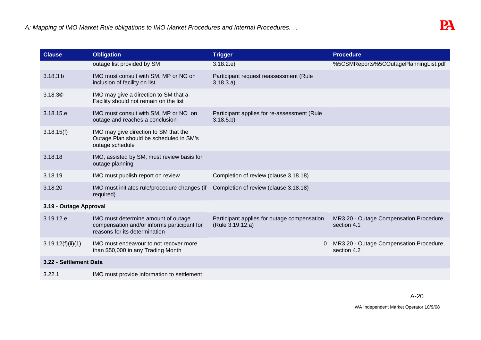| <b>Clause</b>          | <b>Obligation</b>                                                                                                   | <b>Trigger</b>                                                  | <b>Procedure</b>                                       |  |
|------------------------|---------------------------------------------------------------------------------------------------------------------|-----------------------------------------------------------------|--------------------------------------------------------|--|
|                        | outage list provided by SM                                                                                          | 3.18.2.e                                                        | %5CSMReports%5COutagePlanningList.pdf                  |  |
| 3.18.3.b               | IMO must consult with SM, MP or NO on<br>inclusion of facility on list                                              | Participant request reassessment (Rule<br>3.18.3.a)             |                                                        |  |
| 3.18.3 <sup>©</sup>    | IMO may give a direction to SM that a<br>Facility should not remain on the list                                     |                                                                 |                                                        |  |
| 3.18.15.e              | IMO must consult with SM, MP or NO on<br>outage and reaches a conclusion                                            | Participant applies for re-assessment (Rule<br>3.18.5.b)        |                                                        |  |
| 3.18.15(f)             | IMO may give direction to SM that the<br>Outage Plan should be scheduled in SM's<br>outage schedule                 |                                                                 |                                                        |  |
| 3.18.18                | IMO, assisted by SM, must review basis for<br>outage planning                                                       |                                                                 |                                                        |  |
| 3.18.19                | IMO must publish report on review                                                                                   | Completion of review (clause 3.18.18)                           |                                                        |  |
| 3.18.20                | IMO must initiates rule/procedure changes (if<br>required)                                                          | Completion of review (clause 3.18.18)                           |                                                        |  |
| 3.19 - Outage Approval |                                                                                                                     |                                                                 |                                                        |  |
| 3.19.12.e              | IMO must determine amount of outage<br>compensation and/or informs participant for<br>reasons for its determination | Participant applies for outage compensation<br>(Rule 3.19.12.a) | MR3.20 - Outage Compensation Procedure,<br>section 4.1 |  |
| 3.19.12(f)(ii)(1)      | IMO must endeavour to not recover more<br>than \$50,000 in any Trading Month                                        | $\Omega$                                                        | MR3.20 - Outage Compensation Procedure,<br>section 4.2 |  |
| 3.22 - Settlement Data |                                                                                                                     |                                                                 |                                                        |  |
| 3.22.1                 | IMO must provide information to settlement                                                                          |                                                                 |                                                        |  |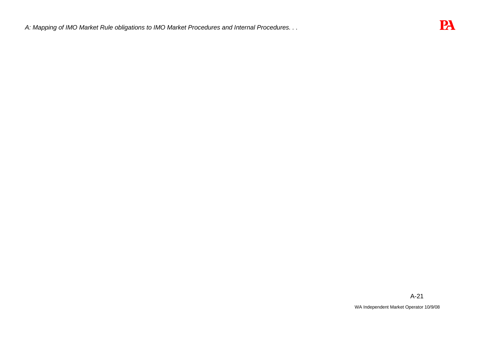A: Mapping of IMO Market Rule obligations to IMO Market Procedures and Internal Procedures. . .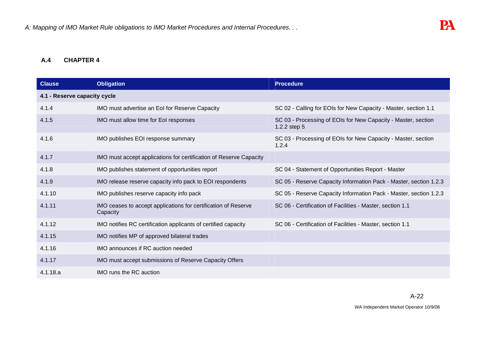#### **A.4 CHAPTER 4**

| <b>Clause</b>                | <b>Obligation</b>                                                          | <b>Procedure</b>                                                              |  |
|------------------------------|----------------------------------------------------------------------------|-------------------------------------------------------------------------------|--|
| 4.1 - Reserve capacity cycle |                                                                            |                                                                               |  |
| 4.1.4                        | IMO must advertise an EoI for Reserve Capacity                             | SC 02 - Calling for EOIs for New Capacity - Master, section 1.1               |  |
| 4.1.5                        | IMO must allow time for EoI responses                                      | SC 03 - Processing of EOIs for New Capacity - Master, section<br>1.2.2 step 5 |  |
| 4.1.6                        | IMO publishes EOI response summary                                         | SC 03 - Processing of EOIs for New Capacity - Master, section<br>1.2.4        |  |
| 4.1.7                        | IMO must accept applications for certification of Reserve Capacity         |                                                                               |  |
| 4.1.8                        | IMO publishes statement of opportunities report                            | SC 04 - Statement of Opportunities Report - Master                            |  |
| 4.1.9                        | IMO release reserve capacity info pack to EOI respondents                  | SC 05 - Reserve Capacity Information Pack - Master, section 1.2.3             |  |
| 4.1.10                       | IMO publishes reserve capacity info pack                                   | SC 05 - Reserve Capacity Information Pack - Master, section 1.2.3             |  |
| 4.1.11                       | IMO ceases to accept applications for certification of Reserve<br>Capacity | SC 06 - Certification of Facilities - Master, section 1.1                     |  |
| 4.1.12                       | IMO notifies RC certification applicants of certified capacity             | SC 06 - Certification of Facilities - Master, section 1.1                     |  |
| 4.1.15                       | IMO notifies MP of approved bilateral trades                               |                                                                               |  |
| 4.1.16                       | IMO announces if RC auction needed                                         |                                                                               |  |
| 4.1.17                       | IMO must accept submissions of Reserve Capacity Offers                     |                                                                               |  |
| 4.1.18.a                     | IMO runs the RC auction                                                    |                                                                               |  |

A-22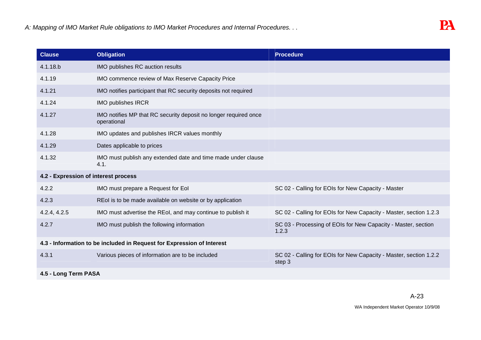| <b>Clause</b>                                                          | <b>Obligation</b>                                                               | <b>Procedure</b>                                                            |
|------------------------------------------------------------------------|---------------------------------------------------------------------------------|-----------------------------------------------------------------------------|
| 4.1.18.b                                                               | IMO publishes RC auction results                                                |                                                                             |
| 4.1.19                                                                 | IMO commence review of Max Reserve Capacity Price                               |                                                                             |
| 4.1.21                                                                 | IMO notifies participant that RC security deposits not required                 |                                                                             |
| 4.1.24                                                                 | <b>IMO publishes IRCR</b>                                                       |                                                                             |
| 4.1.27                                                                 | IMO notifies MP that RC security deposit no longer required once<br>operational |                                                                             |
| 4.1.28                                                                 | IMO updates and publishes IRCR values monthly                                   |                                                                             |
| 4.1.29                                                                 | Dates applicable to prices                                                      |                                                                             |
| 4.1.32                                                                 | IMO must publish any extended date and time made under clause<br>4.1.           |                                                                             |
| 4.2 - Expression of interest process                                   |                                                                                 |                                                                             |
| 4.2.2                                                                  | IMO must prepare a Request for Eol                                              | SC 02 - Calling for EOIs for New Capacity - Master                          |
| 4.2.3                                                                  | REol is to be made available on website or by application                       |                                                                             |
| 4.2.4, 4.2.5                                                           | IMO must advertise the REoI, and may continue to publish it                     | SC 02 - Calling for EOIs for New Capacity - Master, section 1.2.3           |
| 4.2.7                                                                  | IMO must publish the following information                                      | SC 03 - Processing of EOIs for New Capacity - Master, section<br>1.2.3      |
| 4.3 - Information to be included in Request for Expression of Interest |                                                                                 |                                                                             |
| 4.3.1                                                                  | Various pieces of information are to be included                                | SC 02 - Calling for EOIs for New Capacity - Master, section 1.2.2<br>step 3 |
| 4.5 - Long Term PASA                                                   |                                                                                 |                                                                             |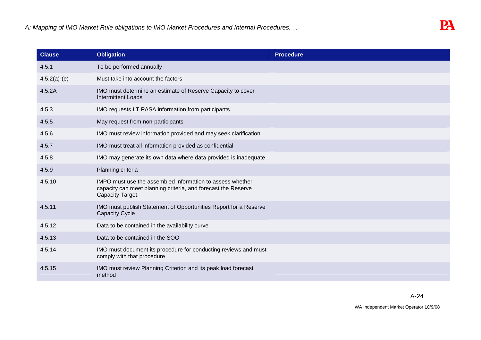| <b>Clause</b>  | <b>Obligation</b>                                                                                                                              | <b>Procedure</b> |
|----------------|------------------------------------------------------------------------------------------------------------------------------------------------|------------------|
| 4.5.1          | To be performed annually                                                                                                                       |                  |
| $4.5.2(a)-(e)$ | Must take into account the factors                                                                                                             |                  |
| 4.5.2A         | IMO must determine an estimate of Reserve Capacity to cover<br><b>Intermittent Loads</b>                                                       |                  |
| 4.5.3          | IMO requests LT PASA information from participants                                                                                             |                  |
| 4.5.5          | May request from non-participants                                                                                                              |                  |
| 4.5.6          | IMO must review information provided and may seek clarification                                                                                |                  |
| 4.5.7          | IMO must treat all information provided as confidential                                                                                        |                  |
| 4.5.8          | IMO may generate its own data where data provided is inadequate                                                                                |                  |
| 4.5.9          | Planning criteria                                                                                                                              |                  |
| 4.5.10         | IMPO must use the assembled information to assess whether<br>capacity can meet planning criteria, and forecast the Reserve<br>Capacity Target. |                  |
| 4.5.11         | IMO must publish Statement of Opportunities Report for a Reserve<br><b>Capacity Cycle</b>                                                      |                  |
| 4.5.12         | Data to be contained in the availability curve                                                                                                 |                  |
| 4.5.13         | Data to be contained in the SOO                                                                                                                |                  |
| 4.5.14         | IMO must document its procedure for conducting reviews and must<br>comply with that procedure                                                  |                  |
| 4.5.15         | IMO must review Planning Criterion and its peak load forecast<br>method                                                                        |                  |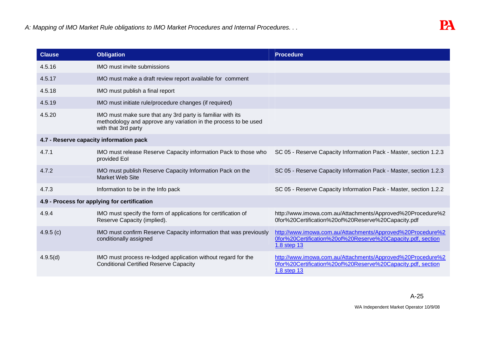| <b>Clause</b> | <b>Obligation</b>                                                                                                                                    | <b>Procedure</b>                                                                                                                         |
|---------------|------------------------------------------------------------------------------------------------------------------------------------------------------|------------------------------------------------------------------------------------------------------------------------------------------|
| 4.5.16        | IMO must invite submissions                                                                                                                          |                                                                                                                                          |
| 4.5.17        | IMO must make a draft review report available for comment                                                                                            |                                                                                                                                          |
| 4.5.18        | IMO must publish a final report                                                                                                                      |                                                                                                                                          |
| 4.5.19        | IMO must initiate rule/procedure changes (if required)                                                                                               |                                                                                                                                          |
| 4.5.20        | IMO must make sure that any 3rd party is familiar with its<br>methodology and approve any variation in the process to be used<br>with that 3rd party |                                                                                                                                          |
|               | 4.7 - Reserve capacity information pack                                                                                                              |                                                                                                                                          |
| 4.7.1         | IMO must release Reserve Capacity information Pack to those who<br>provided Eol                                                                      | SC 05 - Reserve Capacity Information Pack - Master, section 1.2.3                                                                        |
| 4.7.2         | IMO must publish Reserve Capacity Information Pack on the<br>Market Web Site                                                                         | SC 05 - Reserve Capacity Information Pack - Master, section 1.2.3                                                                        |
| 4.7.3         | Information to be in the Info pack                                                                                                                   | SC 05 - Reserve Capacity Information Pack - Master, section 1.2.2                                                                        |
|               | 4.9 - Process for applying for certification                                                                                                         |                                                                                                                                          |
| 4.9.4         | IMO must specify the form of applications for certification of<br>Reserve Capacity (implied).                                                        | http://www.imowa.com.au/Attachments/Approved%20Procedure%2<br>0for%20Certification%20of%20Reserve%20Capacity.pdf                         |
| 4.9.5(c)      | IMO must confirm Reserve Capacity information that was previously<br>conditionally assigned                                                          | http://www.imowa.com.au/Attachments/Approved%20Procedure%2<br>0for%20Certification%20of%20Reserve%20Capacity.pdf, section<br>1.8 step 13 |
| 4.9.5(d)      | IMO must process re-lodged application without regard for the<br><b>Conditional Certified Reserve Capacity</b>                                       | http://www.imowa.com.au/Attachments/Approved%20Procedure%2<br>0for%20Certification%20of%20Reserve%20Capacity.pdf, section<br>1.8 step 13 |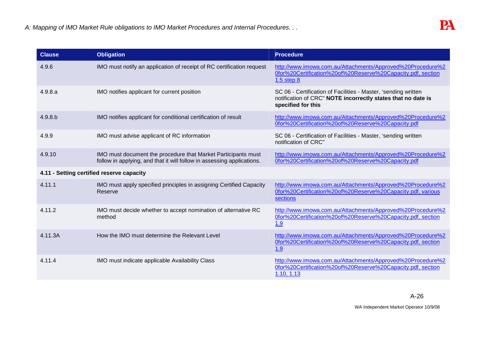| <b>Clause</b> | <b>Obligation</b>                                                                                                                       | <b>Procedure</b>                                                                                                                                     |
|---------------|-----------------------------------------------------------------------------------------------------------------------------------------|------------------------------------------------------------------------------------------------------------------------------------------------------|
| 4.9.6         | IMO must notify an application of receipt of RC certification request                                                                   | http://www.imowa.com.au/Attachments/Approved%20Procedure%2<br>0for%20Certification%20of%20Reserve%20Capacity.pdf, section<br>$1.5$ step $8$          |
| 4.9.8.a       | IMO notifies applicant for current position                                                                                             | SC 06 - Certification of Facilities - Master, 'sending written<br>notification of CRC" NOTE incorrectly states that no date is<br>specified for this |
| 4.9.8.b       | IMO notifies applicant for conditional certification of result                                                                          | http://www.imowa.com.au/Attachments/Approved%20Procedure%2<br>0for%20Certification%20of%20Reserve%20Capacity.pdf                                     |
| 4.9.9         | IMO must advise applicant of RC information                                                                                             | SC 06 - Certification of Facilities - Master, 'sending written<br>notification of CRC"                                                               |
| 4.9.10        | IMO must document the procedure that Market Participants must<br>follow in applying, and that it will follow in assessing applications. | http://www.imowa.com.au/Attachments/Approved%20Procedure%2<br>0for%20Certification%20of%20Reserve%20Capacity.pdf                                     |
|               | 4.11 - Setting certified reserve capacity                                                                                               |                                                                                                                                                      |
| 4.11.1        | IMO must apply specified principles in assigning Certified Capacity<br>Reserve                                                          | http://www.imowa.com.au/Attachments/Approved%20Procedure%2<br>0for%20Certification%20of%20Reserve%20Capacity.pdf, various<br>sections                |
| 4.11.2        | IMO must decide whether to accept nomination of alternative RC<br>method                                                                | http://www.imowa.com.au/Attachments/Approved%20Procedure%2<br>0for%20Certification%20of%20Reserve%20Capacity.pdf, section<br>1.9                     |
| 4.11.3A       | How the IMO must determine the Relevant Level                                                                                           | http://www.imowa.com.au/Attachments/Approved%20Procedure%2<br>0for%20Certification%20of%20Reserve%20Capacity.pdf, section<br>1.9                     |
| 4.11.4        | IMO must indicate applicable Availability Class                                                                                         | http://www.imowa.com.au/Attachments/Approved%20Procedure%2<br>0for%20Certification%20of%20Reserve%20Capacity.pdf, section<br>1.10, 1.13              |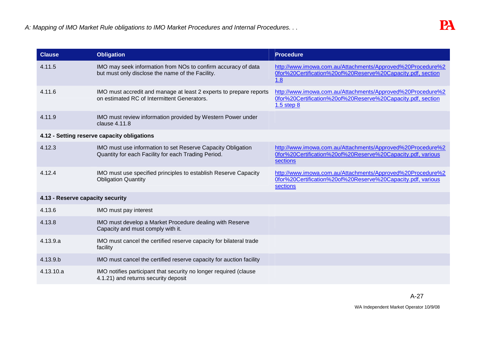| <b>Clause</b>                    | <b>Obligation</b>                                                                                                  | <b>Procedure</b>                                                                                                                            |
|----------------------------------|--------------------------------------------------------------------------------------------------------------------|---------------------------------------------------------------------------------------------------------------------------------------------|
| 4.11.5                           | IMO may seek information from NOs to confirm accuracy of data<br>but must only disclose the name of the Facility.  | http://www.imowa.com.au/Attachments/Approved%20Procedure%2<br>0for%20Certification%20of%20Reserve%20Capacity.pdf, section<br>1.8            |
| 4.11.6                           | IMO must accredit and manage at least 2 experts to prepare reports<br>on estimated RC of Intermittent Generators.  | http://www.imowa.com.au/Attachments/Approved%20Procedure%2<br>0for%20Certification%20of%20Reserve%20Capacity.pdf, section<br>$1.5$ step $8$ |
| 4.11.9                           | IMO must review information provided by Western Power under<br>clause 4.11.8                                       |                                                                                                                                             |
|                                  | 4.12 - Setting reserve capacity obligations                                                                        |                                                                                                                                             |
| 4.12.3                           | IMO must use information to set Reserve Capacity Obligation<br>Quantity for each Facility for each Trading Period. | http://www.imowa.com.au/Attachments/Approved%20Procedure%2<br>0for%20Certification%20of%20Reserve%20Capacity.pdf, various<br>sections       |
| 4.12.4                           | IMO must use specified principles to establish Reserve Capacity<br><b>Obligation Quantity</b>                      | http://www.imowa.com.au/Attachments/Approved%20Procedure%2<br>0for%20Certification%20of%20Reserve%20Capacity.pdf, various<br>sections       |
| 4.13 - Reserve capacity security |                                                                                                                    |                                                                                                                                             |
| 4.13.6                           | IMO must pay interest                                                                                              |                                                                                                                                             |
| 4.13.8                           | IMO must develop a Market Procedure dealing with Reserve<br>Capacity and must comply with it.                      |                                                                                                                                             |
| 4.13.9.a                         | IMO must cancel the certified reserve capacity for bilateral trade<br>facility                                     |                                                                                                                                             |
| 4.13.9.b                         | IMO must cancel the certified reserve capacity for auction facility                                                |                                                                                                                                             |
| 4.13.10.a                        | IMO notifies participant that security no longer required (clause<br>4.1.21) and returns security deposit          |                                                                                                                                             |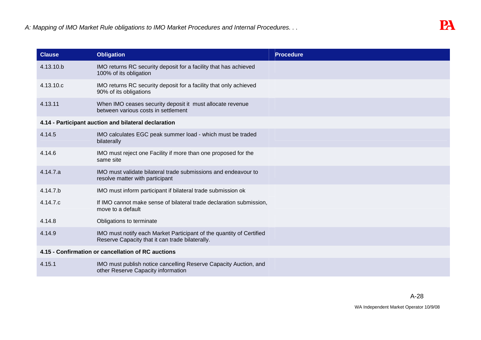A: Mapping of IMO Market Rule obligations to IMO Market Procedures and Internal Procedures. . .

|                                                                                                                         | <b>Procedure</b>  |  |
|-------------------------------------------------------------------------------------------------------------------------|-------------------|--|
| IMO returns RC security deposit for a facility that has achieved<br>100% of its obligation                              |                   |  |
| IMO returns RC security deposit for a facility that only achieved<br>90% of its obligations                             |                   |  |
| When IMO ceases security deposit it must allocate revenue<br>between various costs in settlement                        |                   |  |
| 4.14 - Participant auction and bilateral declaration                                                                    |                   |  |
| IMO calculates EGC peak summer load - which must be traded<br>bilaterally                                               |                   |  |
| IMO must reject one Facility if more than one proposed for the<br>same site                                             |                   |  |
| IMO must validate bilateral trade submissions and endeavour to<br>resolve matter with participant                       |                   |  |
| IMO must inform participant if bilateral trade submission ok                                                            |                   |  |
| If IMO cannot make sense of bilateral trade declaration submission,<br>move to a default                                |                   |  |
| Obligations to terminate                                                                                                |                   |  |
| IMO must notify each Market Participant of the quantity of Certified<br>Reserve Capacity that it can trade bilaterally. |                   |  |
| 4.15 - Confirmation or cancellation of RC auctions                                                                      |                   |  |
| IMO must publish notice cancelling Reserve Capacity Auction, and<br>other Reserve Capacity information                  |                   |  |
|                                                                                                                         | <b>Obligation</b> |  |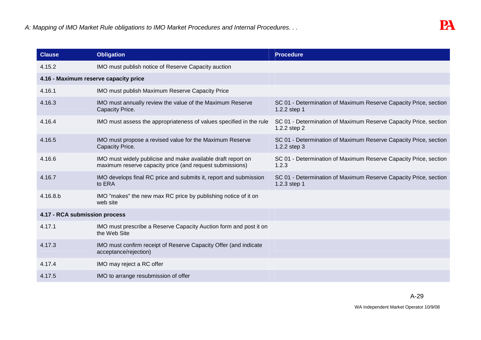| <b>Clause</b>                         | <b>Obligation</b>                                                                                                        | <b>Procedure</b>                                                                 |
|---------------------------------------|--------------------------------------------------------------------------------------------------------------------------|----------------------------------------------------------------------------------|
| 4.15.2                                | IMO must publish notice of Reserve Capacity auction                                                                      |                                                                                  |
| 4.16 - Maximum reserve capacity price |                                                                                                                          |                                                                                  |
| 4.16.1                                | IMO must publish Maximum Reserve Capacity Price                                                                          |                                                                                  |
| 4.16.3                                | IMO must annually review the value of the Maximum Reserve<br>Capacity Price.                                             | SC 01 - Determination of Maximum Reserve Capacity Price, section<br>1.2.2 step 1 |
| 4.16.4                                | IMO must assess the appropriateness of values specified in the rule                                                      | SC 01 - Determination of Maximum Reserve Capacity Price, section<br>1.2.2 step 2 |
| 4.16.5                                | IMO must propose a revised value for the Maximum Reserve<br>Capacity Price.                                              | SC 01 - Determination of Maximum Reserve Capacity Price, section<br>1.2.2 step 3 |
| 4.16.6                                | IMO must widely publicise and make available draft report on<br>maximum reserve capacity price (and request submissions) | SC 01 - Determination of Maximum Reserve Capacity Price, section<br>1.2.3        |
| 4.16.7                                | IMO develops final RC price and submits it, report and submission<br>to ERA                                              | SC 01 - Determination of Maximum Reserve Capacity Price, section<br>1.2.3 step 1 |
| 4.16.8.b                              | IMO "makes" the new max RC price by publishing notice of it on<br>web site                                               |                                                                                  |
| 4.17 - RCA submission process         |                                                                                                                          |                                                                                  |
| 4.17.1                                | IMO must prescribe a Reserve Capacity Auction form and post it on<br>the Web Site                                        |                                                                                  |
| 4.17.3                                | IMO must confirm receipt of Reserve Capacity Offer (and indicate<br>acceptance/rejection)                                |                                                                                  |
| 4.17.4                                | IMO may reject a RC offer                                                                                                |                                                                                  |
| 4.17.5                                | IMO to arrange resubmission of offer                                                                                     |                                                                                  |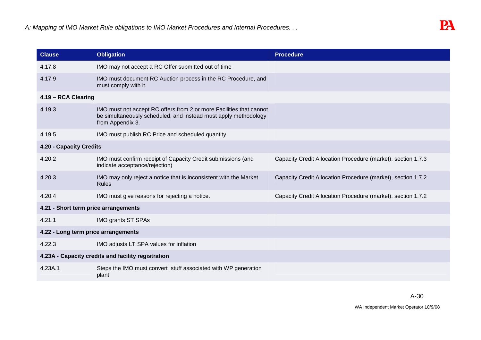| <b>Clause</b>                        | <b>Obligation</b>                                                                                                                                          | <b>Procedure</b>                                             |
|--------------------------------------|------------------------------------------------------------------------------------------------------------------------------------------------------------|--------------------------------------------------------------|
| 4.17.8                               | IMO may not accept a RC Offer submitted out of time                                                                                                        |                                                              |
| 4.17.9                               | IMO must document RC Auction process in the RC Procedure, and<br>must comply with it.                                                                      |                                                              |
| 4.19 - RCA Clearing                  |                                                                                                                                                            |                                                              |
| 4.19.3                               | IMO must not accept RC offers from 2 or more Facilities that cannot<br>be simultaneously scheduled, and instead must apply methodology<br>from Appendix 3. |                                                              |
| 4.19.5                               | IMO must publish RC Price and scheduled quantity                                                                                                           |                                                              |
| 4.20 - Capacity Credits              |                                                                                                                                                            |                                                              |
| 4.20.2                               | IMO must confirm receipt of Capacity Credit submissions (and<br>indicate acceptance/rejection)                                                             | Capacity Credit Allocation Procedure (market), section 1.7.3 |
| 4.20.3                               | IMO may only reject a notice that is inconsistent with the Market<br><b>Rules</b>                                                                          | Capacity Credit Allocation Procedure (market), section 1.7.2 |
| 4.20.4                               | IMO must give reasons for rejecting a notice.                                                                                                              | Capacity Credit Allocation Procedure (market), section 1.7.2 |
| 4.21 - Short term price arrangements |                                                                                                                                                            |                                                              |
| 4.21.1                               | IMO grants ST SPAs                                                                                                                                         |                                                              |
| 4.22 - Long term price arrangements  |                                                                                                                                                            |                                                              |
| 4.22.3                               | IMO adjusts LT SPA values for inflation                                                                                                                    |                                                              |
|                                      | 4.23A - Capacity credits and facility registration                                                                                                         |                                                              |
| 4.23A.1                              | Steps the IMO must convert stuff associated with WP generation<br>plant                                                                                    |                                                              |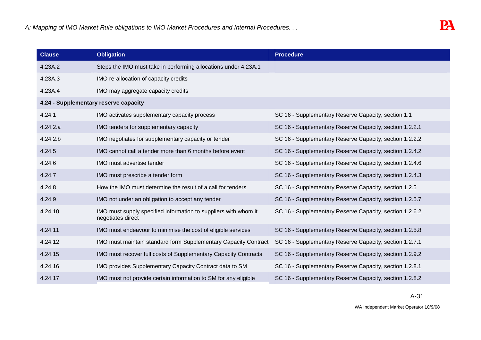| <b>Clause</b>                         | <b>Obligation</b>                                                                    | <b>Procedure</b>                                        |
|---------------------------------------|--------------------------------------------------------------------------------------|---------------------------------------------------------|
| 4.23A.2                               | Steps the IMO must take in performing allocations under 4.23A.1                      |                                                         |
| 4.23A.3                               | IMO re-allocation of capacity credits                                                |                                                         |
| 4.23A.4                               | IMO may aggregate capacity credits                                                   |                                                         |
| 4.24 - Supplementary reserve capacity |                                                                                      |                                                         |
| 4.24.1                                | IMO activates supplementary capacity process                                         | SC 16 - Supplementary Reserve Capacity, section 1.1     |
| 4.24.2.a                              | IMO tenders for supplementary capacity                                               | SC 16 - Supplementary Reserve Capacity, section 1.2.2.1 |
| 4.24.2.b                              | IMO negotiates for supplementary capacity or tender                                  | SC 16 - Supplementary Reserve Capacity, section 1.2.2.2 |
| 4.24.5                                | IMO cannot call a tender more than 6 months before event                             | SC 16 - Supplementary Reserve Capacity, section 1.2.4.2 |
| 4.24.6                                | IMO must advertise tender                                                            | SC 16 - Supplementary Reserve Capacity, section 1.2.4.6 |
| 4.24.7                                | IMO must prescribe a tender form                                                     | SC 16 - Supplementary Reserve Capacity, section 1.2.4.3 |
| 4.24.8                                | How the IMO must determine the result of a call for tenders                          | SC 16 - Supplementary Reserve Capacity, section 1.2.5   |
| 4.24.9                                | IMO not under an obligation to accept any tender                                     | SC 16 - Supplementary Reserve Capacity, section 1.2.5.7 |
| 4.24.10                               | IMO must supply specified information to suppliers with whom it<br>negotiates direct | SC 16 - Supplementary Reserve Capacity, section 1.2.6.2 |
| 4.24.11                               | IMO must endeavour to minimise the cost of eligible services                         | SC 16 - Supplementary Reserve Capacity, section 1.2.5.8 |
| 4.24.12                               | IMO must maintain standard form Supplementary Capacity Contract                      | SC 16 - Supplementary Reserve Capacity, section 1.2.7.1 |
| 4.24.15                               | IMO must recover full costs of Supplementary Capacity Contracts                      | SC 16 - Supplementary Reserve Capacity, section 1.2.9.2 |
| 4.24.16                               | IMO provides Supplementary Capacity Contract data to SM                              | SC 16 - Supplementary Reserve Capacity, section 1.2.8.1 |
| 4.24.17                               | IMO must not provide certain information to SM for any eligible                      | SC 16 - Supplementary Reserve Capacity, section 1.2.8.2 |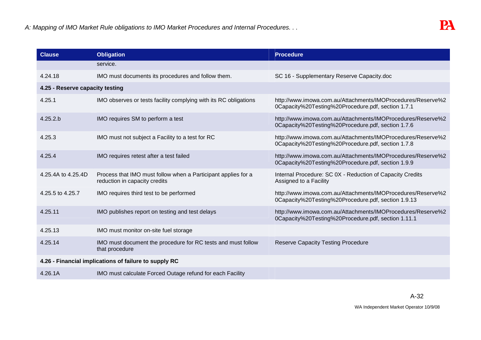| <b>Clause</b>                   | <b>Obligation</b>                                                                              | <b>Procedure</b>                                                                                                   |
|---------------------------------|------------------------------------------------------------------------------------------------|--------------------------------------------------------------------------------------------------------------------|
|                                 | service.                                                                                       |                                                                                                                    |
| 4.24.18                         | IMO must documents its procedures and follow them.                                             | SC 16 - Supplementary Reserve Capacity.doc                                                                         |
| 4.25 - Reserve capacity testing |                                                                                                |                                                                                                                    |
| 4.25.1                          | IMO observes or tests facility complying with its RC obligations                               | http://www.imowa.com.au/Attachments/IMOProcedures/Reserve%2<br>0Capacity%20Testing%20Procedure.pdf, section 1.7.1  |
| 4.25.2.b                        | IMO requires SM to perform a test                                                              | http://www.imowa.com.au/Attachments/IMOProcedures/Reserve%2<br>0Capacity%20Testing%20Procedure.pdf, section 1.7.6  |
| 4.25.3                          | IMO must not subject a Facility to a test for RC                                               | http://www.imowa.com.au/Attachments/IMOProcedures/Reserve%2<br>0Capacity%20Testing%20Procedure.pdf, section 1.7.8  |
| 4.25.4                          | IMO requires retest after a test failed                                                        | http://www.imowa.com.au/Attachments/IMOProcedures/Reserve%2<br>0Capacity%20Testing%20Procedure.pdf, section 1.9.9  |
| 4.25.4A to 4.25.4D              | Process that IMO must follow when a Participant applies for a<br>reduction in capacity credits | Internal Procedure: SC 0X - Reduction of Capacity Credits<br>Assigned to a Facility                                |
| 4.25.5 to 4.25.7                | IMO requires third test to be performed                                                        | http://www.imowa.com.au/Attachments/IMOProcedures/Reserve%2<br>0Capacity%20Testing%20Procedure.pdf, section 1.9.13 |
| 4.25.11                         | IMO publishes report on testing and test delays                                                | http://www.imowa.com.au/Attachments/IMOProcedures/Reserve%2<br>0Capacity%20Testing%20Procedure.pdf, section 1.11.1 |
| 4.25.13                         | IMO must monitor on-site fuel storage                                                          |                                                                                                                    |
| 4.25.14                         | IMO must document the procedure for RC tests and must follow<br>that procedure                 | <b>Reserve Capacity Testing Procedure</b>                                                                          |
|                                 | 4.26 - Financial implications of failure to supply RC                                          |                                                                                                                    |
| 4.26.1A                         | IMO must calculate Forced Outage refund for each Facility                                      |                                                                                                                    |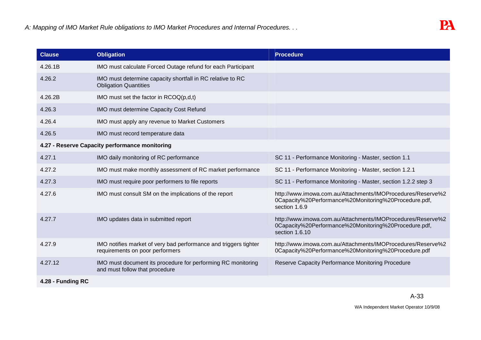| <b>Clause</b>     | <b>Obligation</b>                                                                                   | <b>Procedure</b>                                                                                                                       |
|-------------------|-----------------------------------------------------------------------------------------------------|----------------------------------------------------------------------------------------------------------------------------------------|
| 4.26.1B           | IMO must calculate Forced Outage refund for each Participant                                        |                                                                                                                                        |
| 4.26.2            | IMO must determine capacity shortfall in RC relative to RC<br><b>Obligation Quantities</b>          |                                                                                                                                        |
| 4.26.2B           | IMO must set the factor in $RCOQ(p,d,t)$                                                            |                                                                                                                                        |
| 4.26.3            | IMO must determine Capacity Cost Refund                                                             |                                                                                                                                        |
| 4.26.4            | IMO must apply any revenue to Market Customers                                                      |                                                                                                                                        |
| 4.26.5            | IMO must record temperature data                                                                    |                                                                                                                                        |
|                   | 4.27 - Reserve Capacity performance monitoring                                                      |                                                                                                                                        |
| 4.27.1            | IMO daily monitoring of RC performance                                                              | SC 11 - Performance Monitoring - Master, section 1.1                                                                                   |
| 4.27.2            | IMO must make monthly assessment of RC market performance                                           | SC 11 - Performance Monitoring - Master, section 1.2.1                                                                                 |
| 4.27.3            | IMO must require poor performers to file reports                                                    | SC 11 - Performance Monitoring - Master, section 1.2.2 step 3                                                                          |
| 4.27.6            | IMO must consult SM on the implications of the report                                               | http://www.imowa.com.au/Attachments/IMOProcedures/Reserve%2<br>0Capacity%20Performance%20Monitoring%20Procedure.pdf,<br>section 1.6.9  |
| 4.27.7            | IMO updates data in submitted report                                                                | http://www.imowa.com.au/Attachments/IMOProcedures/Reserve%2<br>0Capacity%20Performance%20Monitoring%20Procedure.pdf,<br>section 1.6.10 |
| 4.27.9            | IMO notifies market of very bad performance and triggers tighter<br>requirements on poor performers | http://www.imowa.com.au/Attachments/IMOProcedures/Reserve%2<br>0Capacity%20Performance%20Monitoring%20Procedure.pdf                    |
| 4.27.12           | IMO must document its procedure for performing RC monitoring<br>and must follow that procedure      | Reserve Capacity Performance Monitoring Procedure                                                                                      |
| 4.28 - Funding RC |                                                                                                     |                                                                                                                                        |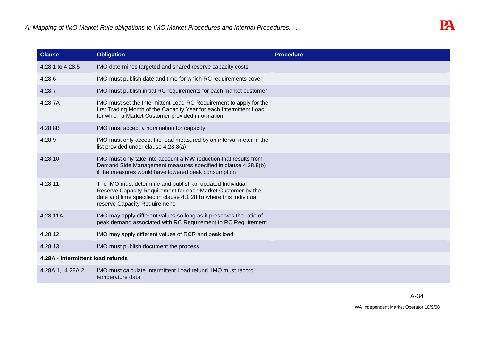| <b>Clause</b>                     | <b>Obligation</b>                                                                                                                                                                                                              | <b>Procedure</b> |
|-----------------------------------|--------------------------------------------------------------------------------------------------------------------------------------------------------------------------------------------------------------------------------|------------------|
| 4.28.1 to 4.28.5                  | IMO determines targeted and shared reserve capacity costs                                                                                                                                                                      |                  |
| 4.28.6                            | IMO must publish date and time for which RC requirements cover                                                                                                                                                                 |                  |
| 4.28.7                            | IMO must publish initial RC requirements for each market customer                                                                                                                                                              |                  |
| 4.28.7A                           | IMO must set the Intermittent Load RC Requirement to apply for the<br>first Trading Month of the Capacity Year for each Intermittent Load<br>for which a Market Customer provided information                                  |                  |
| 4.28.8B                           | IMO must accept a nomination for capacity                                                                                                                                                                                      |                  |
| 4.28.9                            | IMO must only accept the load measured by an interval meter in the<br>list provided under clause 4.28.8(a)                                                                                                                     |                  |
| 4.28.10                           | IMO must only take into account a MW reduction that results from<br>Demand Side Management measures specified in clause 4.28.8(b)<br>if the measures would have lowered peak consumption                                       |                  |
| 4.28.11                           | The IMO must determine and publish an updated Individual<br>Reserve Capacity Requirement for each Market Customer by the<br>date and time specified in clause 4.1.28(b) where this Individual<br>reserve Capacity Requirement: |                  |
| 4.28.11A                          | IMO may apply different values so long as it preserves the ratio of<br>peak demand associated with RC Requirement to RC Requirement.                                                                                           |                  |
| 4.28.12                           | IMO may apply different values of RCR and peak load                                                                                                                                                                            |                  |
| 4.28.13                           | IMO must publish document the process                                                                                                                                                                                          |                  |
| 4.28A - Intermittent load refunds |                                                                                                                                                                                                                                |                  |
| 4.28A.1, 4.28A.2                  | IMO must calculate Intermittent Load refund. IMO must record<br>temperature data.                                                                                                                                              |                  |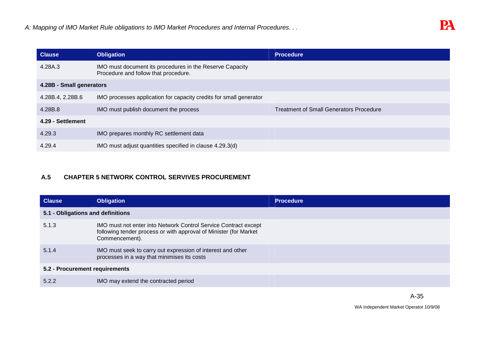| <b>Clause</b>            | <b>Obligation</b>                                                                                | <b>Procedure</b>                               |
|--------------------------|--------------------------------------------------------------------------------------------------|------------------------------------------------|
| 4.28A.3                  | IMO must document its procedures in the Reserve Capacity<br>Procedure and follow that procedure. |                                                |
| 4.28B - Small generators |                                                                                                  |                                                |
| 4.28B.4, 2.28B.6         | IMO processes application for capacity credits for small generator                               |                                                |
| 4.28B.8                  | IMO must publish document the process                                                            | <b>Treatment of Small Generators Procedure</b> |
| 4.29 - Settlement        |                                                                                                  |                                                |
| 4.29.3                   | IMO prepares monthly RC settlement data                                                          |                                                |
| 4.29.4                   | IMO must adjust quantities specified in clause 4.29.3(d)                                         |                                                |

### **A.5 CHAPTER 5 NETWORK CONTROL SERVIVES PROCUREMENT**

| <b>Clause</b>                  | <b>Obligation</b>                                                                                                                                      | <b>Procedure</b> |  |
|--------------------------------|--------------------------------------------------------------------------------------------------------------------------------------------------------|------------------|--|
|                                | 5.1 - Obligations and definitions                                                                                                                      |                  |  |
| 5.1.3                          | IMO must not enter into Network Control Service Contract except<br>following tender process or with approval of Minister (for Market<br>Commencement). |                  |  |
| 5.1.4                          | IMO must seek to carry out expression of interest and other<br>processes in a way that minimises its costs                                             |                  |  |
| 5.2 - Procurement requirements |                                                                                                                                                        |                  |  |
| 5.2.2                          | IMO may extend the contracted period                                                                                                                   |                  |  |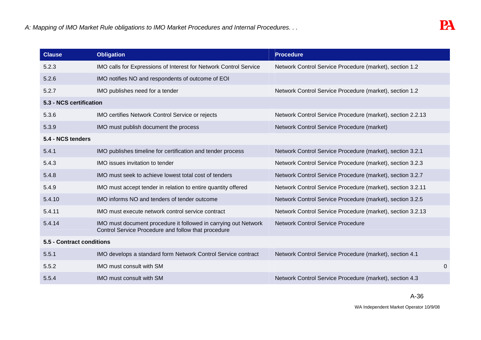| <b>Clause</b>             | <b>Obligation</b>                                                                                                      | <b>Procedure</b>                                           |
|---------------------------|------------------------------------------------------------------------------------------------------------------------|------------------------------------------------------------|
| 5.2.3                     | IMO calls for Expressions of Interest for Network Control Service                                                      | Network Control Service Procedure (market), section 1.2    |
| 5.2.6                     | IMO notifies NO and respondents of outcome of EOI                                                                      |                                                            |
| 5.2.7                     | IMO publishes need for a tender                                                                                        | Network Control Service Procedure (market), section 1.2    |
| 5.3 - NCS certification   |                                                                                                                        |                                                            |
| 5.3.6                     | IMO certifies Network Control Service or rejects                                                                       | Network Control Service Procedure (market), section 2.2.13 |
| 5.3.9                     | IMO must publish document the process                                                                                  | Network Control Service Procedure (market)                 |
| 5.4 - NCS tenders         |                                                                                                                        |                                                            |
| 5.4.1                     | IMO publishes timeline for certification and tender process                                                            | Network Control Service Procedure (market), section 3.2.1  |
| 5.4.3                     | IMO issues invitation to tender                                                                                        | Network Control Service Procedure (market), section 3.2.3  |
| 5.4.8                     | IMO must seek to achieve lowest total cost of tenders                                                                  | Network Control Service Procedure (market), section 3.2.7  |
| 5.4.9                     | IMO must accept tender in relation to entire quantity offered                                                          | Network Control Service Procedure (market), section 3.2.11 |
| 5.4.10                    | IMO informs NO and tenders of tender outcome                                                                           | Network Control Service Procedure (market), section 3.2.5  |
| 5.4.11                    | IMO must execute network control service contract                                                                      | Network Control Service Procedure (market), section 3.2.13 |
| 5.4.14                    | IMO must document procedure it followed in carrying out Network<br>Control Service Procedure and follow that procedure | <b>Network Control Service Procedure</b>                   |
| 5.5 - Contract conditions |                                                                                                                        |                                                            |
| 5.5.1                     | IMO develops a standard form Network Control Service contract                                                          | Network Control Service Procedure (market), section 4.1    |
| 5.5.2                     | IMO must consult with SM                                                                                               | 0                                                          |
| 5.5.4                     | <b>IMO must consult with SM</b>                                                                                        | Network Control Service Procedure (market), section 4.3    |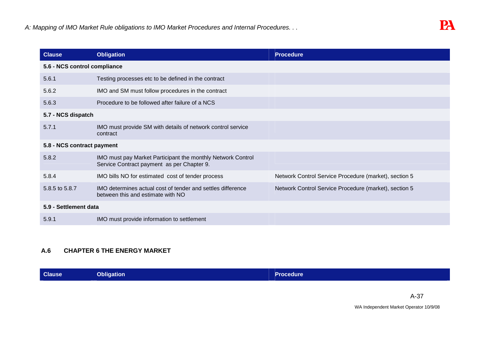| <b>Clause</b>                | <b>Obligation</b>                                                                                         | <b>Procedure</b>                                      |
|------------------------------|-----------------------------------------------------------------------------------------------------------|-------------------------------------------------------|
| 5.6 - NCS control compliance |                                                                                                           |                                                       |
| 5.6.1                        | Testing processes etc to be defined in the contract                                                       |                                                       |
| 5.6.2                        | IMO and SM must follow procedures in the contract                                                         |                                                       |
| 5.6.3                        | Procedure to be followed after failure of a NCS                                                           |                                                       |
| 5.7 - NCS dispatch           |                                                                                                           |                                                       |
| 5.7.1                        | IMO must provide SM with details of network control service<br>contract                                   |                                                       |
| 5.8 - NCS contract payment   |                                                                                                           |                                                       |
| 5.8.2                        | IMO must pay Market Participant the monthly Network Control<br>Service Contract payment as per Chapter 9. |                                                       |
| 5.8.4                        | IMO bills NO for estimated cost of tender process                                                         | Network Control Service Procedure (market), section 5 |
| 5.8.5 to 5.8.7               | IMO determines actual cost of tender and settles difference<br>between this and estimate with NO          | Network Control Service Procedure (market), section 5 |
| 5.9 - Settlement data        |                                                                                                           |                                                       |
| 5.9.1                        | IMO must provide information to settlement                                                                |                                                       |

# **A.6 CHAPTER 6 THE ENERGY MARKET**

| <b>Clause</b> | <b>Obligation</b> | <b>Procedure</b> |
|---------------|-------------------|------------------|
|               |                   |                  |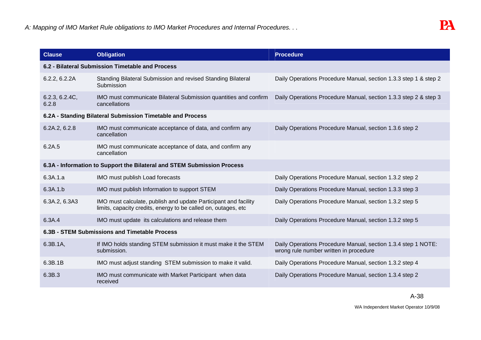| <b>Clause</b>           | <b>Obligation</b>                                                                                                                 | <b>Procedure</b>                                                                                        |
|-------------------------|-----------------------------------------------------------------------------------------------------------------------------------|---------------------------------------------------------------------------------------------------------|
|                         | 6.2 - Bilateral Submission Timetable and Process                                                                                  |                                                                                                         |
| 6.2.2, 6.2.2A           | Standing Bilateral Submission and revised Standing Bilateral<br>Submission                                                        | Daily Operations Procedure Manual, section 1.3.3 step 1 & step 2                                        |
| 6.2.3, 6.2.4C,<br>6.2.8 | IMO must communicate Bilateral Submission quantities and confirm<br>cancellations                                                 | Daily Operations Procedure Manual, section 1.3.3 step 2 & step 3                                        |
|                         | 6.2A - Standing Bilateral Submission Timetable and Process                                                                        |                                                                                                         |
| 6.2A.2, 6.2.8           | IMO must communicate acceptance of data, and confirm any<br>cancellation                                                          | Daily Operations Procedure Manual, section 1.3.6 step 2                                                 |
| 6.2A.5                  | IMO must communicate acceptance of data, and confirm any<br>cancellation                                                          |                                                                                                         |
|                         | 6.3A - Information to Support the Bilateral and STEM Submission Process                                                           |                                                                                                         |
| 6.3A.1.a                | IMO must publish Load forecasts                                                                                                   | Daily Operations Procedure Manual, section 1.3.2 step 2                                                 |
| 6.3A.1.b                | IMO must publish Information to support STEM                                                                                      | Daily Operations Procedure Manual, section 1.3.3 step 3                                                 |
| 6.3A.2, 6.3A3           | IMO must calculate, publish and update Participant and facility<br>limits, capacity credits, energy to be called on, outages, etc | Daily Operations Procedure Manual, section 1.3.2 step 5                                                 |
| 6.3A.4                  | IMO must update its calculations and release them                                                                                 | Daily Operations Procedure Manual, section 1.3.2 step 5                                                 |
|                         | 6.3B - STEM Submissions and Timetable Process                                                                                     |                                                                                                         |
| 6.3B.1A,                | If IMO holds standing STEM submission it must make it the STEM<br>submission.                                                     | Daily Operations Procedure Manual, section 1.3.4 step 1 NOTE:<br>wrong rule number written in procedure |
| 6.3B.1B                 | IMO must adjust standing STEM submission to make it valid.                                                                        | Daily Operations Procedure Manual, section 1.3.2 step 4                                                 |
| 6.3B.3                  | IMO must communicate with Market Participant when data<br>received                                                                | Daily Operations Procedure Manual, section 1.3.4 step 2                                                 |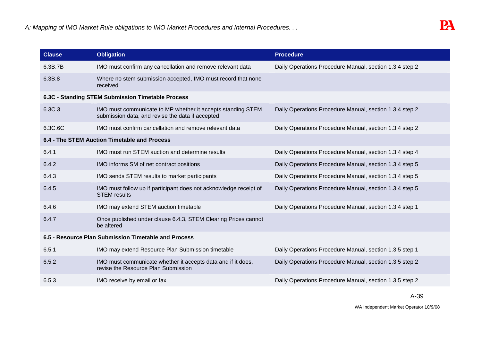| <b>Clause</b> | <b>Obligation</b>                                                                                               | <b>Procedure</b>                                        |
|---------------|-----------------------------------------------------------------------------------------------------------------|---------------------------------------------------------|
| 6.3B.7B       | IMO must confirm any cancellation and remove relevant data                                                      | Daily Operations Procedure Manual, section 1.3.4 step 2 |
| 6.3B.8        | Where no stem submission accepted, IMO must record that none<br>received                                        |                                                         |
|               | 6.3C - Standing STEM Submission Timetable Process                                                               |                                                         |
| 6.3C.3        | IMO must communicate to MP whether it accepts standing STEM<br>submission data, and revise the data if accepted | Daily Operations Procedure Manual, section 1.3.4 step 2 |
| 6.3C.6C       | IMO must confirm cancellation and remove relevant data                                                          | Daily Operations Procedure Manual, section 1.3.4 step 2 |
|               | 6.4 - The STEM Auction Timetable and Process                                                                    |                                                         |
| 6.4.1         | IMO must run STEM auction and determine results                                                                 | Daily Operations Procedure Manual, section 1.3.4 step 4 |
| 6.4.2         | IMO informs SM of net contract positions                                                                        | Daily Operations Procedure Manual, section 1.3.4 step 5 |
| 6.4.3         | IMO sends STEM results to market participants                                                                   | Daily Operations Procedure Manual, section 1.3.4 step 5 |
| 6.4.5         | IMO must follow up if participant does not acknowledge receipt of<br><b>STEM</b> results                        | Daily Operations Procedure Manual, section 1.3.4 step 5 |
| 6.4.6         | IMO may extend STEM auction timetable                                                                           | Daily Operations Procedure Manual, section 1.3.4 step 1 |
| 6.4.7         | Once published under clause 6.4.3, STEM Clearing Prices cannot<br>be altered                                    |                                                         |
|               | 6.5 - Resource Plan Submission Timetable and Process                                                            |                                                         |
| 6.5.1         | IMO may extend Resource Plan Submission timetable                                                               | Daily Operations Procedure Manual, section 1.3.5 step 1 |
| 6.5.2         | IMO must communicate whether it accepts data and if it does,<br>revise the Resource Plan Submission             | Daily Operations Procedure Manual, section 1.3.5 step 2 |
| 6.5.3         | IMO receive by email or fax                                                                                     | Daily Operations Procedure Manual, section 1.3.5 step 2 |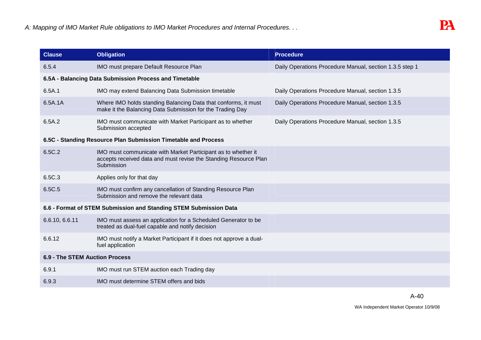| <b>Clause</b>                  | <b>Obligation</b>                                                                                                                               | <b>Procedure</b>                                        |
|--------------------------------|-------------------------------------------------------------------------------------------------------------------------------------------------|---------------------------------------------------------|
| 6.5.4                          | IMO must prepare Default Resource Plan                                                                                                          | Daily Operations Procedure Manual, section 1.3.5 step 1 |
|                                | 6.5A - Balancing Data Submission Process and Timetable                                                                                          |                                                         |
| 6.5A.1                         | IMO may extend Balancing Data Submission timetable                                                                                              | Daily Operations Procedure Manual, section 1.3.5        |
| 6.5A.1A                        | Where IMO holds standing Balancing Data that conforms, it must<br>make it the Balancing Data Submission for the Trading Day                     | Daily Operations Procedure Manual, section 1.3.5        |
| 6.5A.2                         | IMO must communicate with Market Participant as to whether<br>Submission accepted                                                               | Daily Operations Procedure Manual, section 1.3.5        |
|                                | 6.5C - Standing Resource Plan Submission Timetable and Process                                                                                  |                                                         |
| 6.5C.2                         | IMO must communicate with Market Participant as to whether it<br>accepts received data and must revise the Standing Resource Plan<br>Submission |                                                         |
| 6.5C.3                         | Applies only for that day                                                                                                                       |                                                         |
| 6.5C.5                         | IMO must confirm any cancellation of Standing Resource Plan<br>Submission and remove the relevant data                                          |                                                         |
|                                | 6.6 - Format of STEM Submission and Standing STEM Submission Data                                                                               |                                                         |
| 6.6.10, 6.6.11                 | IMO must assess an application for a Scheduled Generator to be<br>treated as dual-fuel capable and notify decision                              |                                                         |
| 6.6.12                         | IMO must notify a Market Participant if it does not approve a dual-<br>fuel application                                                         |                                                         |
| 6.9 - The STEM Auction Process |                                                                                                                                                 |                                                         |
| 6.9.1                          | IMO must run STEM auction each Trading day                                                                                                      |                                                         |
| 6.9.3                          | IMO must determine STEM offers and bids                                                                                                         |                                                         |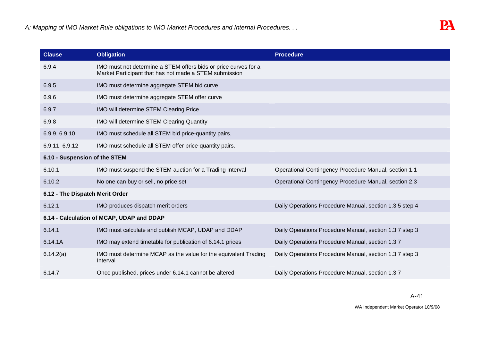| <b>Clause</b>                   | <b>Obligation</b>                                                                                                         | <b>Procedure</b>                                        |
|---------------------------------|---------------------------------------------------------------------------------------------------------------------------|---------------------------------------------------------|
| 6.9.4                           | IMO must not determine a STEM offers bids or price curves for a<br>Market Participant that has not made a STEM submission |                                                         |
| 6.9.5                           | IMO must determine aggregate STEM bid curve                                                                               |                                                         |
| 6.9.6                           | IMO must determine aggregate STEM offer curve                                                                             |                                                         |
| 6.9.7                           | IMO will determine STEM Clearing Price                                                                                    |                                                         |
| 6.9.8                           | IMO will determine STEM Clearing Quantity                                                                                 |                                                         |
| 6.9.9, 6.9.10                   | IMO must schedule all STEM bid price-quantity pairs.                                                                      |                                                         |
| 6.9.11, 6.9.12                  | IMO must schedule all STEM offer price-quantity pairs.                                                                    |                                                         |
| 6.10 - Suspension of the STEM   |                                                                                                                           |                                                         |
| 6.10.1                          | IMO must suspend the STEM auction for a Trading Interval                                                                  | Operational Contingency Procedure Manual, section 1.1   |
| 6.10.2                          | No one can buy or sell, no price set                                                                                      | Operational Contingency Procedure Manual, section 2.3   |
| 6.12 - The Dispatch Merit Order |                                                                                                                           |                                                         |
| 6.12.1                          | IMO produces dispatch merit orders                                                                                        | Daily Operations Procedure Manual, section 1.3.5 step 4 |
|                                 | 6.14 - Calculation of MCAP, UDAP and DDAP                                                                                 |                                                         |
| 6.14.1                          | IMO must calculate and publish MCAP, UDAP and DDAP                                                                        | Daily Operations Procedure Manual, section 1.3.7 step 3 |
| 6.14.1A                         | IMO may extend timetable for publication of 6.14.1 prices                                                                 | Daily Operations Procedure Manual, section 1.3.7        |
| 6.14.2(a)                       | IMO must determine MCAP as the value for the equivalent Trading<br>Interval                                               | Daily Operations Procedure Manual, section 1.3.7 step 3 |
| 6.14.7                          | Once published, prices under 6.14.1 cannot be altered                                                                     | Daily Operations Procedure Manual, section 1.3.7        |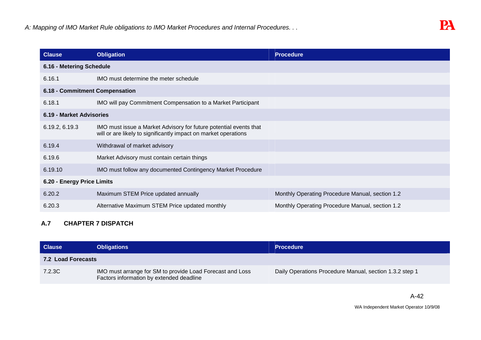| <b>Clause</b>                  | <b>Obligation</b>                                                                                                                    | <b>Procedure</b>                                |  |
|--------------------------------|--------------------------------------------------------------------------------------------------------------------------------------|-------------------------------------------------|--|
|                                | 6.16 - Metering Schedule                                                                                                             |                                                 |  |
| 6.16.1                         | IMO must determine the meter schedule                                                                                                |                                                 |  |
| 6.18 - Commitment Compensation |                                                                                                                                      |                                                 |  |
| 6.18.1                         | IMO will pay Commitment Compensation to a Market Participant                                                                         |                                                 |  |
| 6.19 - Market Advisories       |                                                                                                                                      |                                                 |  |
| 6.19.2, 6.19.3                 | IMO must issue a Market Advisory for future potential events that<br>will or are likely to significantly impact on market operations |                                                 |  |
| 6.19.4                         | Withdrawal of market advisory                                                                                                        |                                                 |  |
| 6.19.6                         | Market Advisory must contain certain things                                                                                          |                                                 |  |
| 6.19.10                        | IMO must follow any documented Contingency Market Procedure                                                                          |                                                 |  |
| 6.20 - Energy Price Limits     |                                                                                                                                      |                                                 |  |
| 6.20.2                         | Maximum STEM Price updated annually                                                                                                  | Monthly Operating Procedure Manual, section 1.2 |  |
| 6.20.3                         | Alternative Maximum STEM Price updated monthly                                                                                       | Monthly Operating Procedure Manual, section 1.2 |  |

### **A.7 CHAPTER 7 DISPATCH**

| <b>Clause</b>      | <b>Obligations</b>                                                                                    | <b>Procedure</b>                                        |
|--------------------|-------------------------------------------------------------------------------------------------------|---------------------------------------------------------|
| 7.2 Load Forecasts |                                                                                                       |                                                         |
| 7.2.3C             | IMO must arrange for SM to provide Load Forecast and Loss<br>Factors information by extended deadline | Daily Operations Procedure Manual, section 1.3.2 step 1 |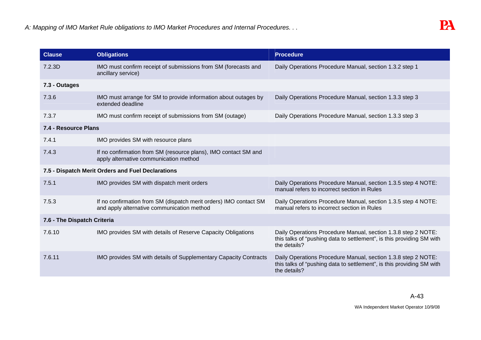| <b>Clause</b>                                     | <b>Obligations</b>                                                                                              | <b>Procedure</b>                                                                                                                                       |  |  |
|---------------------------------------------------|-----------------------------------------------------------------------------------------------------------------|--------------------------------------------------------------------------------------------------------------------------------------------------------|--|--|
| 7.2.3D                                            | IMO must confirm receipt of submissions from SM (forecasts and<br>ancillary service)                            | Daily Operations Procedure Manual, section 1.3.2 step 1                                                                                                |  |  |
| 7.3 - Outages                                     |                                                                                                                 |                                                                                                                                                        |  |  |
| 7.3.6                                             | IMO must arrange for SM to provide information about outages by<br>extended deadline                            | Daily Operations Procedure Manual, section 1.3.3 step 3                                                                                                |  |  |
| 7.3.7                                             | IMO must confirm receipt of submissions from SM (outage)                                                        | Daily Operations Procedure Manual, section 1.3.3 step 3                                                                                                |  |  |
| 7.4 - Resource Plans                              |                                                                                                                 |                                                                                                                                                        |  |  |
| 7.4.1                                             | IMO provides SM with resource plans                                                                             |                                                                                                                                                        |  |  |
| 7.4.3                                             | If no confirmation from SM (resource plans), IMO contact SM and<br>apply alternative communication method       |                                                                                                                                                        |  |  |
| 7.5 - Dispatch Merit Orders and Fuel Declarations |                                                                                                                 |                                                                                                                                                        |  |  |
| 7.5.1                                             | IMO provides SM with dispatch merit orders                                                                      | Daily Operations Procedure Manual, section 1.3.5 step 4 NOTE:<br>manual refers to incorrect section in Rules                                           |  |  |
| 7.5.3                                             | If no confirmation from SM (dispatch merit orders) IMO contact SM<br>and apply alternative communication method | Daily Operations Procedure Manual, section 1.3.5 step 4 NOTE:<br>manual refers to incorrect section in Rules                                           |  |  |
| 7.6 - The Dispatch Criteria                       |                                                                                                                 |                                                                                                                                                        |  |  |
| 7.6.10                                            | IMO provides SM with details of Reserve Capacity Obligations                                                    | Daily Operations Procedure Manual, section 1.3.8 step 2 NOTE:<br>this talks of "pushing data to settlement", is this providing SM with<br>the details? |  |  |
| 7.6.11                                            | IMO provides SM with details of Supplementary Capacity Contracts                                                | Daily Operations Procedure Manual, section 1.3.8 step 2 NOTE:<br>this talks of "pushing data to settlement", is this providing SM with<br>the details? |  |  |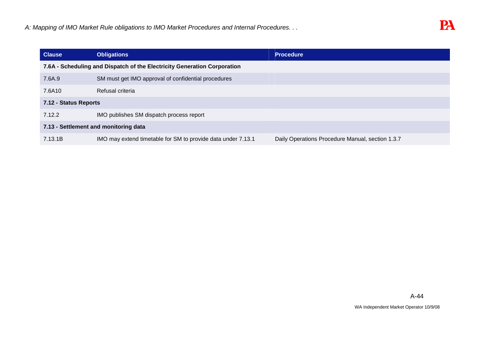| <b>Clause</b>                                                            | <b>Obligations</b>                                           | <b>Procedure</b>                                 |  |  |
|--------------------------------------------------------------------------|--------------------------------------------------------------|--------------------------------------------------|--|--|
| 7.6A - Scheduling and Dispatch of the Electricity Generation Corporation |                                                              |                                                  |  |  |
| 7.6A.9                                                                   | SM must get IMO approval of confidential procedures          |                                                  |  |  |
| 7.6A10                                                                   | Refusal criteria                                             |                                                  |  |  |
| 7.12 - Status Reports                                                    |                                                              |                                                  |  |  |
| 7.12.2                                                                   | IMO publishes SM dispatch process report                     |                                                  |  |  |
| 7.13 - Settlement and monitoring data                                    |                                                              |                                                  |  |  |
| 7.13.1B                                                                  | IMO may extend timetable for SM to provide data under 7.13.1 | Daily Operations Procedure Manual, section 1.3.7 |  |  |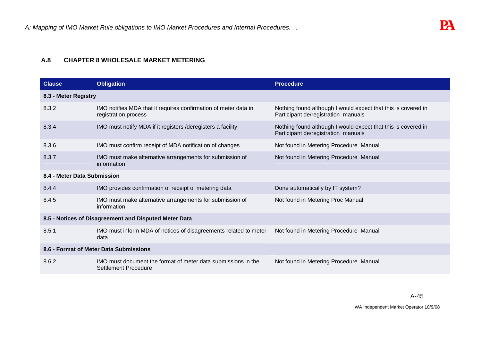#### **A.8 CHAPTER 8 WHOLESALE MARKET METERING**

| <b>Clause</b>                                         | <b>Obligation</b>                                                                       | <b>Procedure</b>                                                                                     |  |  |
|-------------------------------------------------------|-----------------------------------------------------------------------------------------|------------------------------------------------------------------------------------------------------|--|--|
| 8.3 - Meter Registry                                  |                                                                                         |                                                                                                      |  |  |
| 8.3.2                                                 | IMO notifies MDA that it requires confirmation of meter data in<br>registration process | Nothing found although I would expect that this is covered in<br>Participant de/registration manuals |  |  |
| 8.3.4                                                 | IMO must notify MDA if it registers /deregisters a facility                             | Nothing found although I would expect that this is covered in<br>Participant de/registration manuals |  |  |
| 8.3.6                                                 | IMO must confirm receipt of MDA notification of changes                                 | Not found in Metering Procedure Manual                                                               |  |  |
| 8.3.7                                                 | IMO must make alternative arrangements for submission of<br>information                 | Not found in Metering Procedure Manual                                                               |  |  |
| 8.4 - Meter Data Submission                           |                                                                                         |                                                                                                      |  |  |
| 8.4.4                                                 | IMO provides confirmation of receipt of metering data                                   | Done automatically by IT system?                                                                     |  |  |
| 8.4.5                                                 | IMO must make alternative arrangements for submission of<br>information                 | Not found in Metering Proc Manual                                                                    |  |  |
| 8.5 - Notices of Disagreement and Disputed Meter Data |                                                                                         |                                                                                                      |  |  |
| 8.5.1                                                 | IMO must inform MDA of notices of disagreements related to meter<br>data                | Not found in Metering Procedure Manual                                                               |  |  |
| 8.6 - Format of Meter Data Submissions                |                                                                                         |                                                                                                      |  |  |
| 8.6.2                                                 | IMO must document the format of meter data submissions in the<br>Settlement Procedure   | Not found in Metering Procedure Manual                                                               |  |  |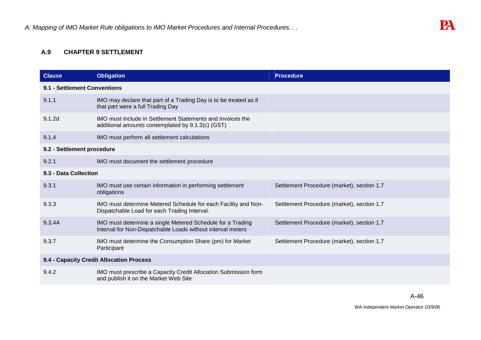## **A.9 CHAPTER 9 SETTLEMENT**

| <b>Clause</b>                            | <b>Obligation</b>                                                                                                         | <b>Procedure</b>                           |
|------------------------------------------|---------------------------------------------------------------------------------------------------------------------------|--------------------------------------------|
| 9.1 - Settlement Conventions             |                                                                                                                           |                                            |
| 9.1.1                                    | IMO may declare that part of a Trading Day is to be treated as if<br>that part were a full Trading Day                    |                                            |
| 9.1.2d                                   | IMO must include in Settlement Statements and Invoices the<br>additional amounts contemplated by 9.1.2(c) (GST)           |                                            |
| 9.1.4                                    | IMO must perform all settlement calculations                                                                              |                                            |
| 9.2 - Settlement procedure               |                                                                                                                           |                                            |
| 9.2.1                                    | IMO must document the settlement procedure                                                                                |                                            |
| 9.3 - Data Collection                    |                                                                                                                           |                                            |
| 9.3.1                                    | IMO must use certain information in performing settlement<br>obligations                                                  | Settlement Procedure (market), section 1.7 |
| 9.3.3                                    | IMO must determine Metered Schedule for each Facility and Non-<br>Dispatchable Load for each Trading Interval.            | Settlement Procedure (market), section 1.7 |
| 9.3.4A                                   | IMO must determine a single Metered Schedule for a Trading<br>Interval for Non-Dispatchable Loads without interval meters | Settlement Procedure (market), section 1.7 |
| 9.3.7                                    | IMO must determine the Consumption Share (pm) for Market<br>Participant                                                   | Settlement Procedure (market), section 1.7 |
| 9.4 - Capacity Credit Allocation Process |                                                                                                                           |                                            |
| 9.4.2                                    | IMO must prescribe a Capacity Credit Allocation Submission form<br>and publish it on the Market Web Site                  |                                            |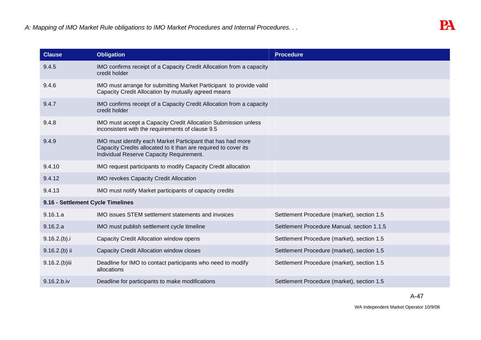| <b>Clause</b>                     | <b>Obligation</b>                                                                                                                                                          | <b>Procedure</b>                           |
|-----------------------------------|----------------------------------------------------------------------------------------------------------------------------------------------------------------------------|--------------------------------------------|
| 9.4.5                             | IMO confirms receipt of a Capacity Credit Allocation from a capacity<br>credit holder                                                                                      |                                            |
| 9.4.6                             | IMO must arrange for submitting Market Participant to provide valid<br>Capacity Credit Allocation by mutually agreed means                                                 |                                            |
| 9.4.7                             | IMO confirms receipt of a Capacity Credit Allocation from a capacity<br>credit holder                                                                                      |                                            |
| 9.4.8                             | IMO must accept a Capacity Credit Allocation Submission unless<br>inconsistent with the requirements of clause 9.5                                                         |                                            |
| 9.4.9                             | IMO must identify each Market Participant that has had more<br>Capacity Credits allocated to it than are required to cover its<br>Individual Reserve Capacity Requirement. |                                            |
| 9.4.10                            | IMO request participants to modify Capacity Credit allocation                                                                                                              |                                            |
| 9.4.12                            | IMO revokes Capacity Credit Allocation                                                                                                                                     |                                            |
| 9.4.13                            | IMO must notify Market participants of capacity credits                                                                                                                    |                                            |
| 9.16 - Settlement Cycle Timelines |                                                                                                                                                                            |                                            |
| 9.16.1.a                          | IMO issues STEM settlement statements and invoices                                                                                                                         | Settlement Procedure (market), section 1.5 |
| 9.16.2.a                          | IMO must publish settlement cycle timeline                                                                                                                                 | Settlement Procedure Manual, section 1.1.5 |
| 9.16.2(b).i                       | Capacity Credit Allocation window opens                                                                                                                                    | Settlement Procedure (market), section 1.5 |
| $9.16.2(b)$ ii                    | <b>Capacity Credit Allocation window closes</b>                                                                                                                            | Settlement Procedure (market), section 1.5 |
| $9.16.2(b)$ iii                   | Deadline for IMO to contact participants who need to modify<br>allocations                                                                                                 | Settlement Procedure (market), section 1.5 |
| 9.16.2.b.iv                       | Deadline for participants to make modifications                                                                                                                            | Settlement Procedure (market), section 1.5 |

WA Independent Market Operator 10/9/08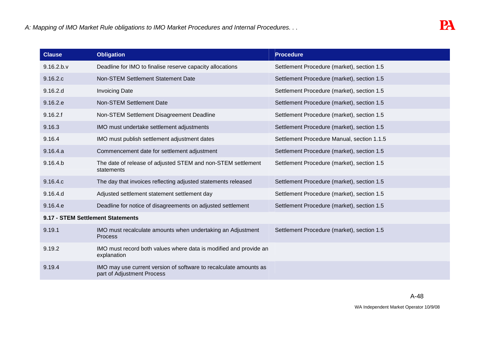| <b>Clause</b>                     | <b>Obligation</b>                                                                               | <b>Procedure</b>                           |
|-----------------------------------|-------------------------------------------------------------------------------------------------|--------------------------------------------|
| 9.16.2 b.v                        | Deadline for IMO to finalise reserve capacity allocations                                       | Settlement Procedure (market), section 1.5 |
| 9.16.2.c                          | Non-STEM Settlement Statement Date                                                              | Settlement Procedure (market), section 1.5 |
| 9.16.2.d                          | <b>Invoicing Date</b>                                                                           | Settlement Procedure (market), section 1.5 |
| 9.16.2.e                          | <b>Non-STEM Settlement Date</b>                                                                 | Settlement Procedure (market), section 1.5 |
| 9.16.2.f                          | Non-STEM Settlement Disagreement Deadline                                                       | Settlement Procedure (market), section 1.5 |
| 9.16.3                            | IMO must undertake settlement adjustments                                                       | Settlement Procedure (market), section 1.5 |
| 9.16.4                            | IMO must publish settlement adjustment dates                                                    | Settlement Procedure Manual, section 1.1.5 |
| 9.16.4.a                          | Commencement date for settlement adjustment                                                     | Settlement Procedure (market), section 1.5 |
| 9.16.4 b                          | The date of release of adjusted STEM and non-STEM settlement<br>statements                      | Settlement Procedure (market), section 1.5 |
| 9.16.4.c                          | The day that invoices reflecting adjusted statements released                                   | Settlement Procedure (market), section 1.5 |
| 9.16.4.d                          | Adjusted settlement statement settlement day                                                    | Settlement Procedure (market), section 1.5 |
| 9.16.4.e                          | Deadline for notice of disagreements on adjusted settlement                                     | Settlement Procedure (market), section 1.5 |
| 9.17 - STEM Settlement Statements |                                                                                                 |                                            |
| 9.19.1                            | IMO must recalculate amounts when undertaking an Adjustment<br><b>Process</b>                   | Settlement Procedure (market), section 1.5 |
| 9.19.2                            | IMO must record both values where data is modified and provide an<br>explanation                |                                            |
| 9.19.4                            | IMO may use current version of software to recalculate amounts as<br>part of Adjustment Process |                                            |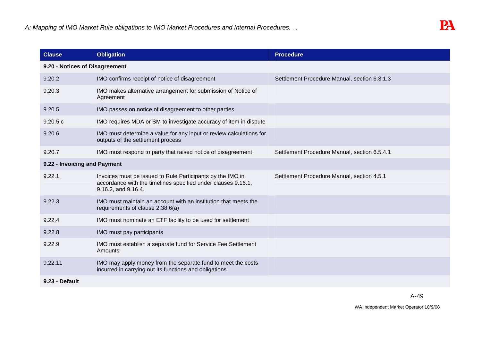| <b>Clause</b>                  | <b>Obligation</b>                                                                                                                                  | <b>Procedure</b>                             |  |
|--------------------------------|----------------------------------------------------------------------------------------------------------------------------------------------------|----------------------------------------------|--|
| 9.20 - Notices of Disagreement |                                                                                                                                                    |                                              |  |
| 9.20.2                         | IMO confirms receipt of notice of disagreement                                                                                                     | Settlement Procedure Manual, section 6.3.1.3 |  |
| 9.20.3                         | IMO makes alternative arrangement for submission of Notice of<br>Agreement                                                                         |                                              |  |
| 9.20.5                         | IMO passes on notice of disagreement to other parties                                                                                              |                                              |  |
| 9.20.5.c                       | IMO requires MDA or SM to investigate accuracy of item in dispute                                                                                  |                                              |  |
| 9.20.6                         | IMO must determine a value for any input or review calculations for<br>outputs of the settlement process                                           |                                              |  |
| 9.20.7                         | IMO must respond to party that raised notice of disagreement                                                                                       | Settlement Procedure Manual, section 6.5.4.1 |  |
| 9.22 - Invoicing and Payment   |                                                                                                                                                    |                                              |  |
| 9.22.1.                        | Invoices must be issued to Rule Participants by the IMO in<br>accordance with the timelines specified under clauses 9.16.1,<br>9.16.2, and 9.16.4. | Settlement Procedure Manual, section 4.5.1   |  |
| 9.22.3                         | IMO must maintain an account with an institution that meets the<br>requirements of clause 2.38.6(a)                                                |                                              |  |
| 9.22.4                         | IMO must nominate an ETF facility to be used for settlement                                                                                        |                                              |  |
| 9.22.8                         | IMO must pay participants                                                                                                                          |                                              |  |
| 9.22.9                         | IMO must establish a separate fund for Service Fee Settlement<br>Amounts                                                                           |                                              |  |
| 9.22.11                        | IMO may apply money from the separate fund to meet the costs<br>incurred in carrying out its functions and obligations.                            |                                              |  |
| 9.23 - Default                 |                                                                                                                                                    |                                              |  |

WA Independent Market Operator 10/9/08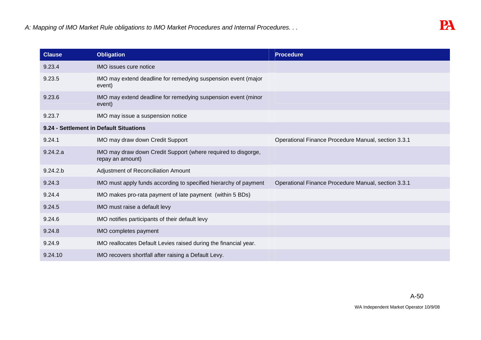| <b>Clause</b> | <b>Obligation</b>                                                                 | <b>Procedure</b>                                    |
|---------------|-----------------------------------------------------------------------------------|-----------------------------------------------------|
| 9.23.4        | IMO issues cure notice                                                            |                                                     |
| 9.23.5        | IMO may extend deadline for remedying suspension event (major<br>event)           |                                                     |
| 9.23.6        | IMO may extend deadline for remedying suspension event (minor<br>event)           |                                                     |
| 9.23.7        | IMO may issue a suspension notice                                                 |                                                     |
|               | 9.24 - Settlement in Default Situations                                           |                                                     |
| 9.24.1        | IMO may draw down Credit Support                                                  | Operational Finance Procedure Manual, section 3.3.1 |
| 9.24.2.a      | IMO may draw down Credit Support (where required to disgorge,<br>repay an amount) |                                                     |
| 9.24.2 b      | Adjustment of Reconciliation Amount                                               |                                                     |
| 9.24.3        | IMO must apply funds according to specified hierarchy of payment                  | Operational Finance Procedure Manual, section 3.3.1 |
| 9.24.4        | IMO makes pro-rata payment of late payment (within 5 BDs)                         |                                                     |
| 9.24.5        | IMO must raise a default levy                                                     |                                                     |
| 9.24.6        | IMO notifies participants of their default levy                                   |                                                     |
| 9.24.8        | IMO completes payment                                                             |                                                     |
| 9.24.9        | IMO reallocates Default Levies raised during the financial year.                  |                                                     |
| 9.24.10       | IMO recovers shortfall after raising a Default Levy.                              |                                                     |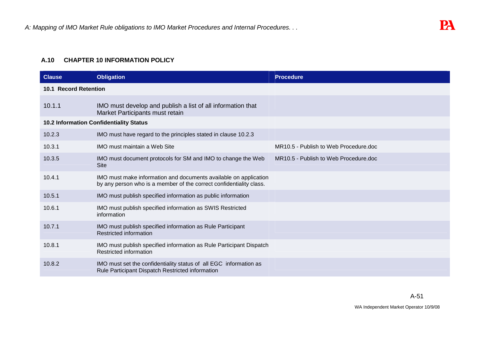## **A.10 CHAPTER 10 INFORMATION POLICY**

| <b>Clause</b>                           | <b>Obligation</b>                                                                                                                       | <b>Procedure</b>                      |  |
|-----------------------------------------|-----------------------------------------------------------------------------------------------------------------------------------------|---------------------------------------|--|
| 10.1 Record Retention                   |                                                                                                                                         |                                       |  |
| 10.1.1                                  | IMO must develop and publish a list of all information that<br>Market Participants must retain                                          |                                       |  |
| 10.2 Information Confidentiality Status |                                                                                                                                         |                                       |  |
| 10.2.3                                  | IMO must have regard to the principles stated in clause 10.2.3                                                                          |                                       |  |
| 10.3.1                                  | <b>IMO</b> must maintain a Web Site                                                                                                     | MR10.5 - Publish to Web Procedure.doc |  |
| 10.3.5                                  | IMO must document protocols for SM and IMO to change the Web<br><b>Site</b>                                                             | MR10.5 - Publish to Web Procedure.doc |  |
| 10.4.1                                  | IMO must make information and documents available on application<br>by any person who is a member of the correct confidentiality class. |                                       |  |
| 10.5.1                                  | IMO must publish specified information as public information                                                                            |                                       |  |
| 10.6.1                                  | IMO must publish specified information as SWIS Restricted<br>information                                                                |                                       |  |
| 10.7.1                                  | IMO must publish specified information as Rule Participant<br>Restricted information                                                    |                                       |  |
| 10.8.1                                  | IMO must publish specified information as Rule Participant Dispatch<br>Restricted information                                           |                                       |  |
| 10.8.2                                  | IMO must set the confidentiality status of all EGC information as<br>Rule Participant Dispatch Restricted information                   |                                       |  |

WA Independent Market Operator 10/9/08